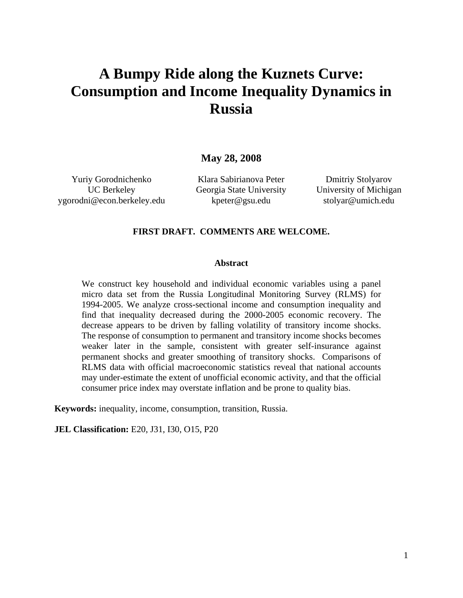# **A Bumpy Ride along the Kuznets Curve: Consumption and Income Inequality Dynamics in Russia**

**May 28, 2008**

Yuriy Gorodnichenko UC Berkeley ygorodni@econ.berkeley.edu

Klara Sabirianova Peter Georgia State University kpeter@gsu.edu

Dmitriy Stolyarov University of Michigan stolyar@umich.edu

#### **FIRST DRAFT. COMMENTS ARE WELCOME.**

#### **Abstract**

We construct key household and individual economic variables using a panel micro data set from the Russia Longitudinal Monitoring Survey (RLMS) for 1994-2005. We analyze cross-sectional income and consumption inequality and find that inequality decreased during the 2000-2005 economic recovery. The decrease appears to be driven by falling volatility of transitory income shocks. The response of consumption to permanent and transitory income shocks becomes weaker later in the sample, consistent with greater self-insurance against permanent shocks and greater smoothing of transitory shocks. Comparisons of RLMS data with official macroeconomic statistics reveal that national accounts may under-estimate the extent of unofficial economic activity, and that the official consumer price index may overstate inflation and be prone to quality bias.

**Keywords:** inequality, income, consumption, transition, Russia.

**JEL Classification:** E20, J31, I30, O15, P20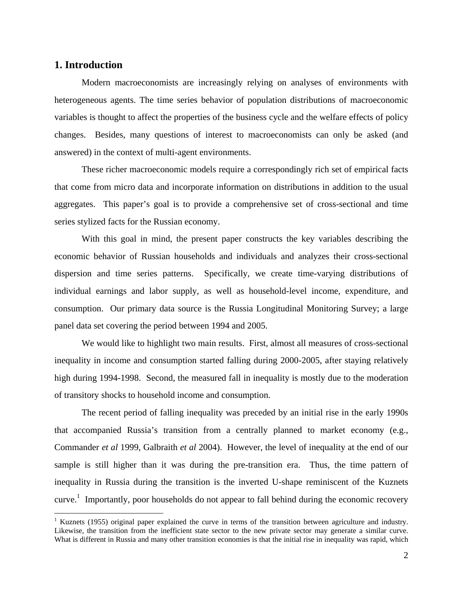### **1. Introduction**

1

Modern macroeconomists are increasingly relying on analyses of environments with heterogeneous agents. The time series behavior of population distributions of macroeconomic variables is thought to affect the properties of the business cycle and the welfare effects of policy changes. Besides, many questions of interest to macroeconomists can only be asked (and answered) in the context of multi-agent environments.

These richer macroeconomic models require a correspondingly rich set of empirical facts that come from micro data and incorporate information on distributions in addition to the usual aggregates. This paper's goal is to provide a comprehensive set of cross-sectional and time series stylized facts for the Russian economy.

With this goal in mind, the present paper constructs the key variables describing the economic behavior of Russian households and individuals and analyzes their cross-sectional dispersion and time series patterns. Specifically, we create time-varying distributions of individual earnings and labor supply, as well as household-level income, expenditure, and consumption. Our primary data source is the Russia Longitudinal Monitoring Survey; a large panel data set covering the period between 1994 and 2005.

We would like to highlight two main results. First, almost all measures of cross-sectional inequality in income and consumption started falling during 2000-2005, after staying relatively high during 1994-1998. Second, the measured fall in inequality is mostly due to the moderation of transitory shocks to household income and consumption.

The recent period of falling inequality was preceded by an initial rise in the early 1990s that accompanied Russia's transition from a centrally planned to market economy (e.g., Commander *et al* 1999, Galbraith *et al* 2004). However, the level of inequality at the end of our sample is still higher than it was during the pre-transition era. Thus, the time pattern of inequality in Russia during the transition is the inverted U-shape reminiscent of the Kuznets curve.<sup>1</sup> Importantly, poor households do not appear to fall behind during the economic recovery

<sup>&</sup>lt;sup>1</sup> Kuznets (1955) original paper explained the curve in terms of the transition between agriculture and industry. Likewise, the transition from the inefficient state sector to the new private sector may generate a similar curve. What is different in Russia and many other transition economies is that the initial rise in inequality was rapid, which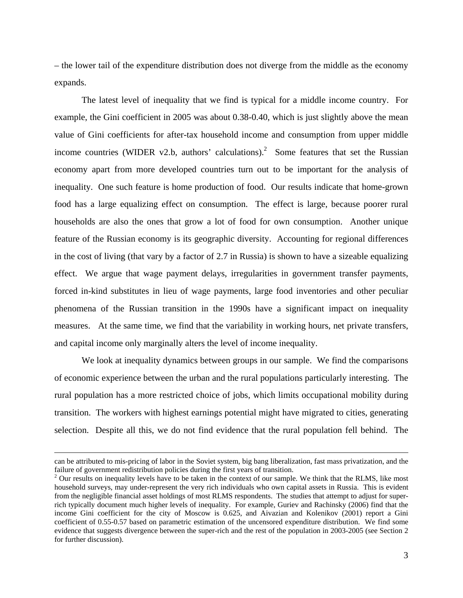– the lower tail of the expenditure distribution does not diverge from the middle as the economy expands.

The latest level of inequality that we find is typical for a middle income country. For example, the Gini coefficient in 2005 was about 0.38-0.40, which is just slightly above the mean value of Gini coefficients for after-tax household income and consumption from upper middle income countries (WIDER v2.b, authors' calculations).<sup>2</sup> Some features that set the Russian economy apart from more developed countries turn out to be important for the analysis of inequality. One such feature is home production of food. Our results indicate that home-grown food has a large equalizing effect on consumption. The effect is large, because poorer rural households are also the ones that grow a lot of food for own consumption. Another unique feature of the Russian economy is its geographic diversity. Accounting for regional differences in the cost of living (that vary by a factor of 2.7 in Russia) is shown to have a sizeable equalizing effect. We argue that wage payment delays, irregularities in government transfer payments, forced in-kind substitutes in lieu of wage payments, large food inventories and other peculiar phenomena of the Russian transition in the 1990s have a significant impact on inequality measures. At the same time, we find that the variability in working hours, net private transfers, and capital income only marginally alters the level of income inequality.

We look at inequality dynamics between groups in our sample. We find the comparisons of economic experience between the urban and the rural populations particularly interesting. The rural population has a more restricted choice of jobs, which limits occupational mobility during transition. The workers with highest earnings potential might have migrated to cities, generating selection. Despite all this, we do not find evidence that the rural population fell behind. The

can be attributed to mis-pricing of labor in the Soviet system, big bang liberalization, fast mass privatization, and the failure of government redistribution policies during the first years of transition.

 $2$  Our results on inequality levels have to be taken in the context of our sample. We think that the RLMS, like most household surveys, may under-represent the very rich individuals who own capital assets in Russia. This is evident from the negligible financial asset holdings of most RLMS respondents. The studies that attempt to adjust for superrich typically document much higher levels of inequality. For example, Guriev and Rachinsky (2006) find that the income Gini coefficient for the city of Moscow is 0.625, and Aivazian and Kolenikov (2001) report a Gini coefficient of 0.55-0.57 based on parametric estimation of the uncensored expenditure distribution. We find some evidence that suggests divergence between the super-rich and the rest of the population in 2003-2005 (see Section 2 for further discussion).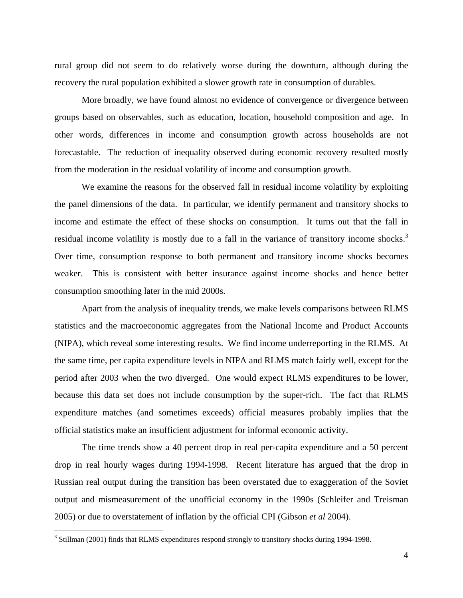rural group did not seem to do relatively worse during the downturn, although during the recovery the rural population exhibited a slower growth rate in consumption of durables.

More broadly, we have found almost no evidence of convergence or divergence between groups based on observables, such as education, location, household composition and age. In other words, differences in income and consumption growth across households are not forecastable. The reduction of inequality observed during economic recovery resulted mostly from the moderation in the residual volatility of income and consumption growth.

We examine the reasons for the observed fall in residual income volatility by exploiting the panel dimensions of the data. In particular, we identify permanent and transitory shocks to income and estimate the effect of these shocks on consumption. It turns out that the fall in residual income volatility is mostly due to a fall in the variance of transitory income shocks.<sup>3</sup> Over time, consumption response to both permanent and transitory income shocks becomes weaker. This is consistent with better insurance against income shocks and hence better consumption smoothing later in the mid 2000s.

Apart from the analysis of inequality trends, we make levels comparisons between RLMS statistics and the macroeconomic aggregates from the National Income and Product Accounts (NIPA), which reveal some interesting results. We find income underreporting in the RLMS. At the same time, per capita expenditure levels in NIPA and RLMS match fairly well, except for the period after 2003 when the two diverged. One would expect RLMS expenditures to be lower, because this data set does not include consumption by the super-rich. The fact that RLMS expenditure matches (and sometimes exceeds) official measures probably implies that the official statistics make an insufficient adjustment for informal economic activity.

The time trends show a 40 percent drop in real per-capita expenditure and a 50 percent drop in real hourly wages during 1994-1998. Recent literature has argued that the drop in Russian real output during the transition has been overstated due to exaggeration of the Soviet output and mismeasurement of the unofficial economy in the 1990s (Schleifer and Treisman 2005) or due to overstatement of inflation by the official CPI (Gibson *et al* 2004).

<sup>&</sup>lt;sup>3</sup> Stillman (2001) finds that RLMS expenditures respond strongly to transitory shocks during 1994-1998.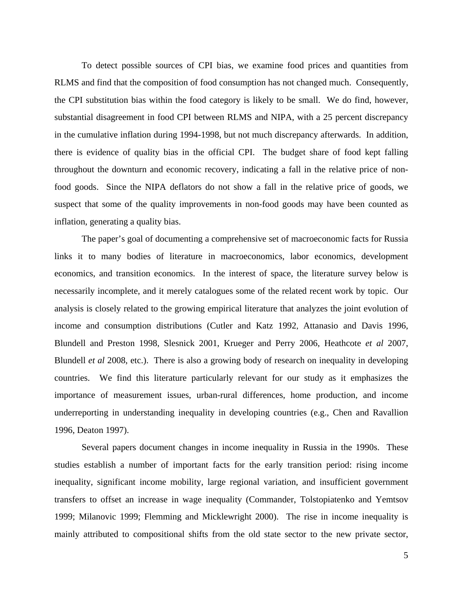To detect possible sources of CPI bias, we examine food prices and quantities from RLMS and find that the composition of food consumption has not changed much. Consequently, the CPI substitution bias within the food category is likely to be small. We do find, however, substantial disagreement in food CPI between RLMS and NIPA, with a 25 percent discrepancy in the cumulative inflation during 1994-1998, but not much discrepancy afterwards. In addition, there is evidence of quality bias in the official CPI. The budget share of food kept falling throughout the downturn and economic recovery, indicating a fall in the relative price of nonfood goods. Since the NIPA deflators do not show a fall in the relative price of goods, we suspect that some of the quality improvements in non-food goods may have been counted as inflation, generating a quality bias.

The paper's goal of documenting a comprehensive set of macroeconomic facts for Russia links it to many bodies of literature in macroeconomics, labor economics, development economics, and transition economics. In the interest of space, the literature survey below is necessarily incomplete, and it merely catalogues some of the related recent work by topic. Our analysis is closely related to the growing empirical literature that analyzes the joint evolution of income and consumption distributions (Cutler and Katz 1992, Attanasio and Davis 1996, Blundell and Preston 1998, Slesnick 2001, Krueger and Perry 2006, Heathcote *et al* 2007, Blundell *et al* 2008, etc.). There is also a growing body of research on inequality in developing countries. We find this literature particularly relevant for our study as it emphasizes the importance of measurement issues, urban-rural differences, home production, and income underreporting in understanding inequality in developing countries (e.g., Chen and Ravallion 1996, Deaton 1997).

Several papers document changes in income inequality in Russia in the 1990s. These studies establish a number of important facts for the early transition period: rising income inequality, significant income mobility, large regional variation, and insufficient government transfers to offset an increase in wage inequality (Commander, Tolstopiatenko and Yemtsov 1999; Milanovic 1999; Flemming and Micklewright 2000). The rise in income inequality is mainly attributed to compositional shifts from the old state sector to the new private sector,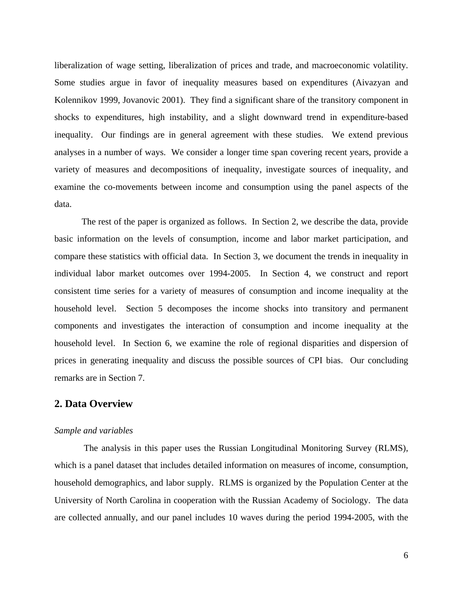liberalization of wage setting, liberalization of prices and trade, and macroeconomic volatility. Some studies argue in favor of inequality measures based on expenditures (Aivazyan and Kolennikov 1999, Jovanovic 2001). They find a significant share of the transitory component in shocks to expenditures, high instability, and a slight downward trend in expenditure-based inequality. Our findings are in general agreement with these studies. We extend previous analyses in a number of ways. We consider a longer time span covering recent years, provide a variety of measures and decompositions of inequality, investigate sources of inequality, and examine the co-movements between income and consumption using the panel aspects of the data.

The rest of the paper is organized as follows. In Section 2, we describe the data, provide basic information on the levels of consumption, income and labor market participation, and compare these statistics with official data. In Section 3, we document the trends in inequality in individual labor market outcomes over 1994-2005. In Section 4, we construct and report consistent time series for a variety of measures of consumption and income inequality at the household level. Section 5 decomposes the income shocks into transitory and permanent components and investigates the interaction of consumption and income inequality at the household level. In Section 6, we examine the role of regional disparities and dispersion of prices in generating inequality and discuss the possible sources of CPI bias. Our concluding remarks are in Section 7.

### **2. Data Overview**

#### *Sample and variables*

The analysis in this paper uses the Russian Longitudinal Monitoring Survey (RLMS), which is a panel dataset that includes detailed information on measures of income, consumption, household demographics, and labor supply. RLMS is organized by the Population Center at the University of North Carolina in cooperation with the Russian Academy of Sociology. The data are collected annually, and our panel includes 10 waves during the period 1994-2005, with the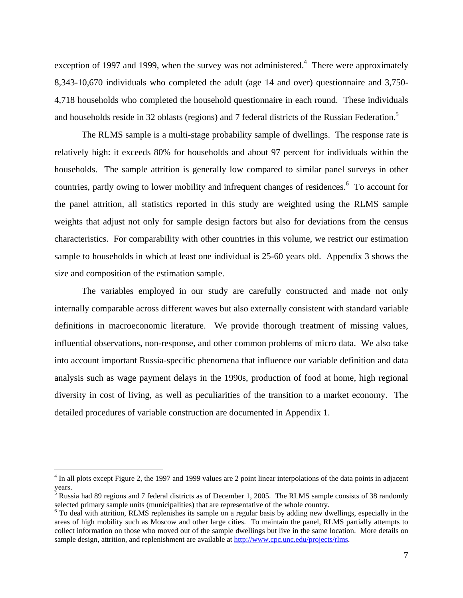exception of 1997 and 1999, when the survey was not administered.<sup>4</sup> There were approximately 8,343-10,670 individuals who completed the adult (age 14 and over) questionnaire and 3,750- 4,718 households who completed the household questionnaire in each round. These individuals and households reside in 32 oblasts (regions) and 7 federal districts of the Russian Federation.<sup>5</sup>

The RLMS sample is a multi-stage probability sample of dwellings. The response rate is relatively high: it exceeds 80% for households and about 97 percent for individuals within the households. The sample attrition is generally low compared to similar panel surveys in other countries, partly owing to lower mobility and infrequent changes of residences.<sup>6</sup> To account for the panel attrition, all statistics reported in this study are weighted using the RLMS sample weights that adjust not only for sample design factors but also for deviations from the census characteristics. For comparability with other countries in this volume, we restrict our estimation sample to households in which at least one individual is 25-60 years old. Appendix 3 shows the size and composition of the estimation sample.

The variables employed in our study are carefully constructed and made not only internally comparable across different waves but also externally consistent with standard variable definitions in macroeconomic literature. We provide thorough treatment of missing values, influential observations, non-response, and other common problems of micro data. We also take into account important Russia-specific phenomena that influence our variable definition and data analysis such as wage payment delays in the 1990s, production of food at home, high regional diversity in cost of living, as well as peculiarities of the transition to a market economy. The detailed procedures of variable construction are documented in Appendix 1.

1

<sup>&</sup>lt;sup>4</sup> In all plots except Figure 2, the 1997 and 1999 values are 2 point linear interpolations of the data points in adjacent years.

<sup>&</sup>lt;sup>5</sup> Russia had 89 regions and 7 federal districts as of December 1, 2005. The RLMS sample consists of 38 randomly selected primary sample units (municipalities) that are representative of the whole country.

<sup>&</sup>lt;sup>6</sup> To deal with attrition, RLMS replenishes its sample on a regular basis by adding new dwellings, especially in the areas of high mobility such as Moscow and other large cities. To maintain the panel, RLMS partially attempts to collect information on those who moved out of the sample dwellings but live in the same location. More details on sample design, attrition, and replenishment are available at http://www.cpc.unc.edu/projects/rlms.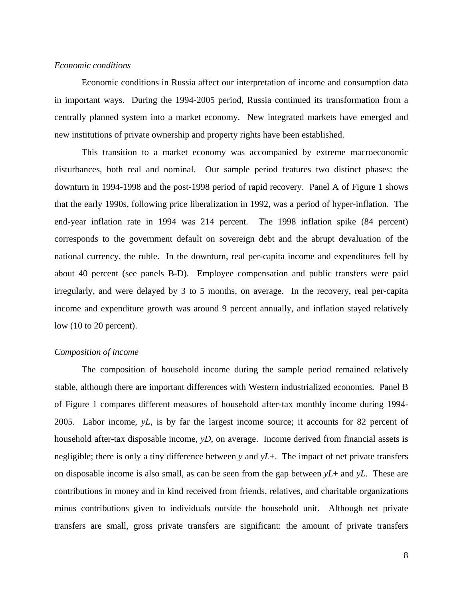#### *Economic conditions*

Economic conditions in Russia affect our interpretation of income and consumption data in important ways. During the 1994-2005 period, Russia continued its transformation from a centrally planned system into a market economy. New integrated markets have emerged and new institutions of private ownership and property rights have been established.

This transition to a market economy was accompanied by extreme macroeconomic disturbances, both real and nominal. Our sample period features two distinct phases: the downturn in 1994-1998 and the post-1998 period of rapid recovery. Panel A of Figure 1 shows that the early 1990s, following price liberalization in 1992, was a period of hyper-inflation. The end-year inflation rate in 1994 was 214 percent. The 1998 inflation spike (84 percent) corresponds to the government default on sovereign debt and the abrupt devaluation of the national currency, the ruble. In the downturn, real per-capita income and expenditures fell by about 40 percent (see panels B-D). Employee compensation and public transfers were paid irregularly, and were delayed by 3 to 5 months, on average. In the recovery, real per-capita income and expenditure growth was around 9 percent annually, and inflation stayed relatively low (10 to 20 percent).

#### *Composition of income*

The composition of household income during the sample period remained relatively stable, although there are important differences with Western industrialized economies. Panel B of Figure 1 compares different measures of household after-tax monthly income during 1994- 2005. Labor income, *yL*, is by far the largest income source; it accounts for 82 percent of household after-tax disposable income, *yD*, on average. Income derived from financial assets is negligible; there is only a tiny difference between *y* and *yL*+. The impact of net private transfers on disposable income is also small, as can be seen from the gap between *yL*+ and *yL*. These are contributions in money and in kind received from friends, relatives, and charitable organizations minus contributions given to individuals outside the household unit. Although net private transfers are small, gross private transfers are significant: the amount of private transfers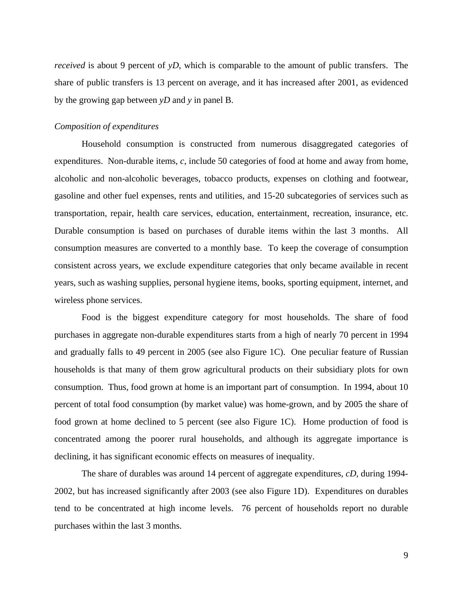*received* is about 9 percent of *yD*, which is comparable to the amount of public transfers. The share of public transfers is 13 percent on average, and it has increased after 2001, as evidenced by the growing gap between *yD* and *y* in panel B.

#### *Composition of expenditures*

Household consumption is constructed from numerous disaggregated categories of expenditures. Non-durable items, *c*, include 50 categories of food at home and away from home, alcoholic and non-alcoholic beverages, tobacco products, expenses on clothing and footwear, gasoline and other fuel expenses, rents and utilities, and 15-20 subcategories of services such as transportation, repair, health care services, education, entertainment, recreation, insurance, etc. Durable consumption is based on purchases of durable items within the last 3 months. All consumption measures are converted to a monthly base. To keep the coverage of consumption consistent across years, we exclude expenditure categories that only became available in recent years, such as washing supplies, personal hygiene items, books, sporting equipment, internet, and wireless phone services.

Food is the biggest expenditure category for most households. The share of food purchases in aggregate non-durable expenditures starts from a high of nearly 70 percent in 1994 and gradually falls to 49 percent in 2005 (see also Figure 1C). One peculiar feature of Russian households is that many of them grow agricultural products on their subsidiary plots for own consumption. Thus, food grown at home is an important part of consumption. In 1994, about 10 percent of total food consumption (by market value) was home-grown, and by 2005 the share of food grown at home declined to 5 percent (see also Figure 1C). Home production of food is concentrated among the poorer rural households, and although its aggregate importance is declining, it has significant economic effects on measures of inequality.

The share of durables was around 14 percent of aggregate expenditures, *cD*, during 1994- 2002, but has increased significantly after 2003 (see also Figure 1D). Expenditures on durables tend to be concentrated at high income levels. 76 percent of households report no durable purchases within the last 3 months.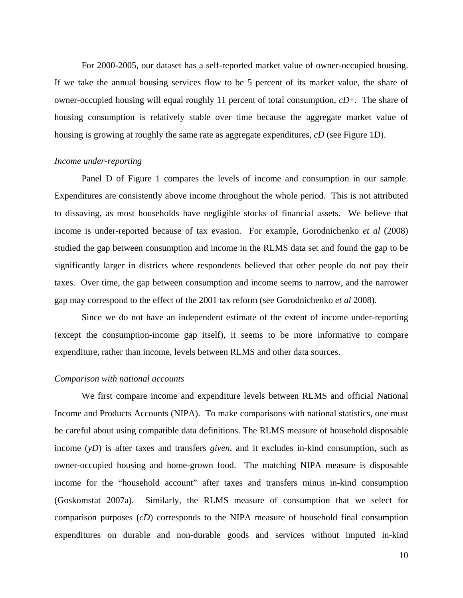For 2000-2005, our dataset has a self-reported market value of owner-occupied housing. If we take the annual housing services flow to be 5 percent of its market value, the share of owner-occupied housing will equal roughly 11 percent of total consumption, *cD*+. The share of housing consumption is relatively stable over time because the aggregate market value of housing is growing at roughly the same rate as aggregate expenditures, *cD* (see Figure 1D).

#### *Income under-reporting*

Panel D of Figure 1 compares the levels of income and consumption in our sample. Expenditures are consistently above income throughout the whole period. This is not attributed to dissaving, as most households have negligible stocks of financial assets. We believe that income is under-reported because of tax evasion. For example, Gorodnichenko *et al* (2008) studied the gap between consumption and income in the RLMS data set and found the gap to be significantly larger in districts where respondents believed that other people do not pay their taxes. Over time, the gap between consumption and income seems to narrow, and the narrower gap may correspond to the effect of the 2001 tax reform (see Gorodnichenko *et al* 2008).

Since we do not have an independent estimate of the extent of income under-reporting (except the consumption-income gap itself), it seems to be more informative to compare expenditure, rather than income, levels between RLMS and other data sources.

#### *Comparison with national accounts*

We first compare income and expenditure levels between RLMS and official National Income and Products Accounts (NIPA). To make comparisons with national statistics, one must be careful about using compatible data definitions. The RLMS measure of household disposable income (*yD*) is after taxes and transfers *given*, and it excludes in-kind consumption, such as owner-occupied housing and home-grown food. The matching NIPA measure is disposable income for the "household account" after taxes and transfers minus in-kind consumption (Goskomstat 2007a). Similarly, the RLMS measure of consumption that we select for comparison purposes (*cD*) corresponds to the NIPA measure of household final consumption expenditures on durable and non-durable goods and services without imputed in-kind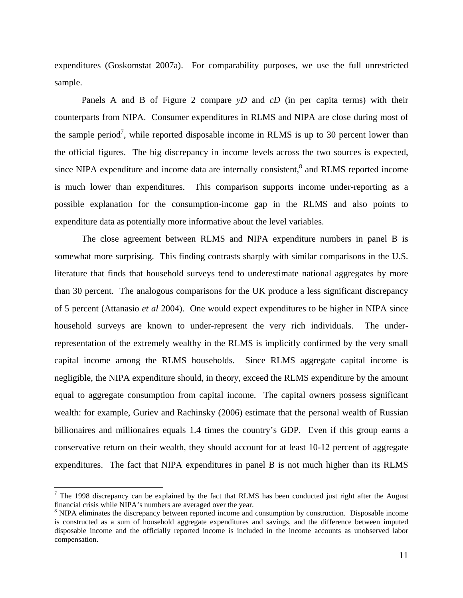expenditures (Goskomstat 2007a). For comparability purposes, we use the full unrestricted sample.

Panels A and B of Figure 2 compare *yD* and *cD* (in per capita terms) with their counterparts from NIPA. Consumer expenditures in RLMS and NIPA are close during most of the sample period<sup>7</sup>, while reported disposable income in RLMS is up to 30 percent lower than the official figures. The big discrepancy in income levels across the two sources is expected, since NIPA expenditure and income data are internally consistent, $<sup>8</sup>$  and RLMS reported income</sup> is much lower than expenditures. This comparison supports income under-reporting as a possible explanation for the consumption-income gap in the RLMS and also points to expenditure data as potentially more informative about the level variables.

The close agreement between RLMS and NIPA expenditure numbers in panel B is somewhat more surprising. This finding contrasts sharply with similar comparisons in the U.S. literature that finds that household surveys tend to underestimate national aggregates by more than 30 percent. The analogous comparisons for the UK produce a less significant discrepancy of 5 percent (Attanasio *et al* 2004). One would expect expenditures to be higher in NIPA since household surveys are known to under-represent the very rich individuals. The underrepresentation of the extremely wealthy in the RLMS is implicitly confirmed by the very small capital income among the RLMS households. Since RLMS aggregate capital income is negligible, the NIPA expenditure should, in theory, exceed the RLMS expenditure by the amount equal to aggregate consumption from capital income. The capital owners possess significant wealth: for example, Guriev and Rachinsky (2006) estimate that the personal wealth of Russian billionaires and millionaires equals 1.4 times the country's GDP. Even if this group earns a conservative return on their wealth, they should account for at least 10-12 percent of aggregate expenditures. The fact that NIPA expenditures in panel B is not much higher than its RLMS

 $\overline{a}$ 

 $<sup>7</sup>$  The 1998 discrepancy can be explained by the fact that RLMS has been conducted just right after the August</sup> financial crisis while NIPA's numbers are averaged over the year. 8

<sup>&</sup>lt;sup>8</sup> NIPA eliminates the discrepancy between reported income and consumption by construction. Disposable income is constructed as a sum of household aggregate expenditures and savings, and the difference between imputed disposable income and the officially reported income is included in the income accounts as unobserved labor compensation.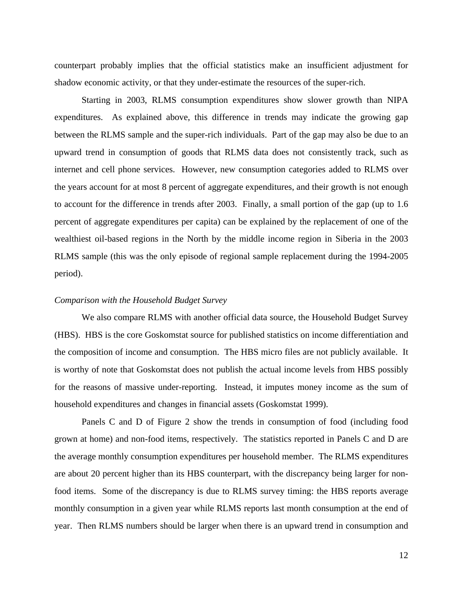counterpart probably implies that the official statistics make an insufficient adjustment for shadow economic activity, or that they under-estimate the resources of the super-rich.

Starting in 2003, RLMS consumption expenditures show slower growth than NIPA expenditures. As explained above, this difference in trends may indicate the growing gap between the RLMS sample and the super-rich individuals. Part of the gap may also be due to an upward trend in consumption of goods that RLMS data does not consistently track, such as internet and cell phone services. However, new consumption categories added to RLMS over the years account for at most 8 percent of aggregate expenditures, and their growth is not enough to account for the difference in trends after 2003. Finally, a small portion of the gap (up to 1.6 percent of aggregate expenditures per capita) can be explained by the replacement of one of the wealthiest oil-based regions in the North by the middle income region in Siberia in the 2003 RLMS sample (this was the only episode of regional sample replacement during the 1994-2005 period).

#### *Comparison with the Household Budget Survey*

We also compare RLMS with another official data source, the Household Budget Survey (HBS). HBS is the core Goskomstat source for published statistics on income differentiation and the composition of income and consumption. The HBS micro files are not publicly available. It is worthy of note that Goskomstat does not publish the actual income levels from HBS possibly for the reasons of massive under-reporting. Instead, it imputes money income as the sum of household expenditures and changes in financial assets (Goskomstat 1999).

Panels C and D of Figure 2 show the trends in consumption of food (including food grown at home) and non-food items, respectively. The statistics reported in Panels C and D are the average monthly consumption expenditures per household member. The RLMS expenditures are about 20 percent higher than its HBS counterpart, with the discrepancy being larger for nonfood items. Some of the discrepancy is due to RLMS survey timing: the HBS reports average monthly consumption in a given year while RLMS reports last month consumption at the end of year. Then RLMS numbers should be larger when there is an upward trend in consumption and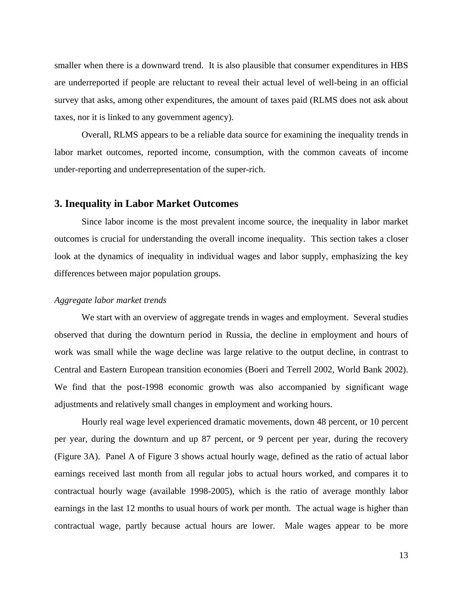smaller when there is a downward trend. It is also plausible that consumer expenditures in HBS are underreported if people are reluctant to reveal their actual level of well-being in an official survey that asks, among other expenditures, the amount of taxes paid (RLMS does not ask about taxes, nor it is linked to any government agency).

Overall, RLMS appears to be a reliable data source for examining the inequality trends in labor market outcomes, reported income, consumption, with the common caveats of income under-reporting and underrepresentation of the super-rich.

#### **3. Inequality in Labor Market Outcomes**

Since labor income is the most prevalent income source, the inequality in labor market outcomes is crucial for understanding the overall income inequality. This section takes a closer look at the dynamics of inequality in individual wages and labor supply, emphasizing the key differences between major population groups.

#### *Aggregate labor market trends*

We start with an overview of aggregate trends in wages and employment. Several studies observed that during the downturn period in Russia, the decline in employment and hours of work was small while the wage decline was large relative to the output decline, in contrast to Central and Eastern European transition economies (Boeri and Terrell 2002, World Bank 2002). We find that the post-1998 economic growth was also accompanied by significant wage adjustments and relatively small changes in employment and working hours.

Hourly real wage level experienced dramatic movements, down 48 percent, or 10 percent per year, during the downturn and up 87 percent, or 9 percent per year, during the recovery (Figure 3A). Panel A of Figure 3 shows actual hourly wage, defined as the ratio of actual labor earnings received last month from all regular jobs to actual hours worked, and compares it to contractual hourly wage (available 1998-2005), which is the ratio of average monthly labor earnings in the last 12 months to usual hours of work per month. The actual wage is higher than contractual wage, partly because actual hours are lower. Male wages appear to be more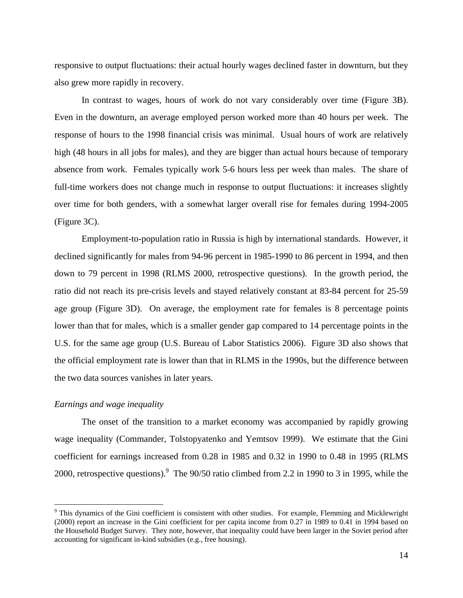responsive to output fluctuations: their actual hourly wages declined faster in downturn, but they also grew more rapidly in recovery.

In contrast to wages, hours of work do not vary considerably over time (Figure 3B). Even in the downturn, an average employed person worked more than 40 hours per week. The response of hours to the 1998 financial crisis was minimal. Usual hours of work are relatively high (48 hours in all jobs for males), and they are bigger than actual hours because of temporary absence from work. Females typically work 5-6 hours less per week than males. The share of full-time workers does not change much in response to output fluctuations: it increases slightly over time for both genders, with a somewhat larger overall rise for females during 1994-2005 (Figure 3C).

Employment-to-population ratio in Russia is high by international standards. However, it declined significantly for males from 94-96 percent in 1985-1990 to 86 percent in 1994, and then down to 79 percent in 1998 (RLMS 2000, retrospective questions). In the growth period, the ratio did not reach its pre-crisis levels and stayed relatively constant at 83-84 percent for 25-59 age group (Figure 3D). On average, the employment rate for females is 8 percentage points lower than that for males, which is a smaller gender gap compared to 14 percentage points in the U.S. for the same age group (U.S. Bureau of Labor Statistics 2006). Figure 3D also shows that the official employment rate is lower than that in RLMS in the 1990s, but the difference between the two data sources vanishes in later years.

#### *Earnings and wage inequality*

 $\overline{a}$ 

The onset of the transition to a market economy was accompanied by rapidly growing wage inequality (Commander, Tolstopyatenko and Yemtsov 1999). We estimate that the Gini coefficient for earnings increased from 0.28 in 1985 and 0.32 in 1990 to 0.48 in 1995 (RLMS 2000, retrospective questions). <sup>9</sup> The 90/50 ratio climbed from 2.2 in 1990 to 3 in 1995, while the

 $9$  This dynamics of the Gini coefficient is consistent with other studies. For example, Flemming and Micklewright (2000) report an increase in the Gini coefficient for per capita income from 0.27 in 1989 to 0.41 in 1994 based on the Household Budget Survey. They note, however, that inequality could have been larger in the Soviet period after accounting for significant in-kind subsidies (e.g., free housing).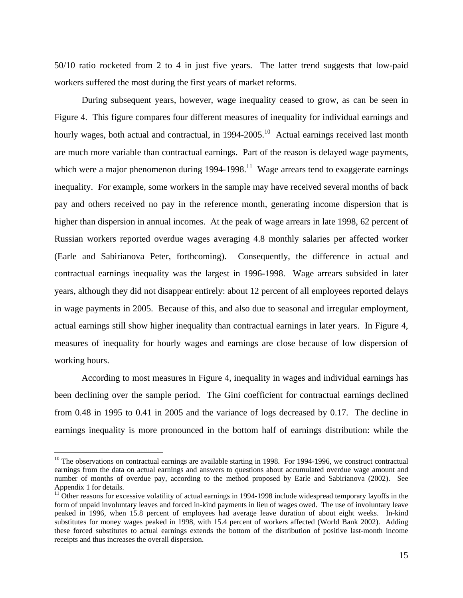50/10 ratio rocketed from 2 to 4 in just five years. The latter trend suggests that low-paid workers suffered the most during the first years of market reforms.

During subsequent years, however, wage inequality ceased to grow, as can be seen in Figure 4. This figure compares four different measures of inequality for individual earnings and hourly wages, both actual and contractual, in 1994-2005.<sup>10</sup> Actual earnings received last month are much more variable than contractual earnings. Part of the reason is delayed wage payments, which were a major phenomenon during  $1994-1998$ .<sup>11</sup> Wage arrears tend to exaggerate earnings inequality. For example, some workers in the sample may have received several months of back pay and others received no pay in the reference month, generating income dispersion that is higher than dispersion in annual incomes. At the peak of wage arrears in late 1998, 62 percent of Russian workers reported overdue wages averaging 4.8 monthly salaries per affected worker (Earle and Sabirianova Peter, forthcoming). Consequently, the difference in actual and contractual earnings inequality was the largest in 1996-1998. Wage arrears subsided in later years, although they did not disappear entirely: about 12 percent of all employees reported delays in wage payments in 2005. Because of this, and also due to seasonal and irregular employment, actual earnings still show higher inequality than contractual earnings in later years. In Figure 4, measures of inequality for hourly wages and earnings are close because of low dispersion of working hours.

According to most measures in Figure 4, inequality in wages and individual earnings has been declining over the sample period. The Gini coefficient for contractual earnings declined from 0.48 in 1995 to 0.41 in 2005 and the variance of logs decreased by 0.17. The decline in earnings inequality is more pronounced in the bottom half of earnings distribution: while the

1

 $10$  The observations on contractual earnings are available starting in 1998. For 1994-1996, we construct contractual earnings from the data on actual earnings and answers to questions about accumulated overdue wage amount and number of months of overdue pay, according to the method proposed by Earle and Sabirianova (2002). See Appendix 1 for details.

 $11$  Other reasons for excessive volatility of actual earnings in 1994-1998 include widespread temporary layoffs in the form of unpaid involuntary leaves and forced in-kind payments in lieu of wages owed. The use of involuntary leave peaked in 1996, when 15.8 percent of employees had average leave duration of about eight weeks. In-kind substitutes for money wages peaked in 1998, with 15.4 percent of workers affected (World Bank 2002). Adding these forced substitutes to actual earnings extends the bottom of the distribution of positive last-month income receipts and thus increases the overall dispersion.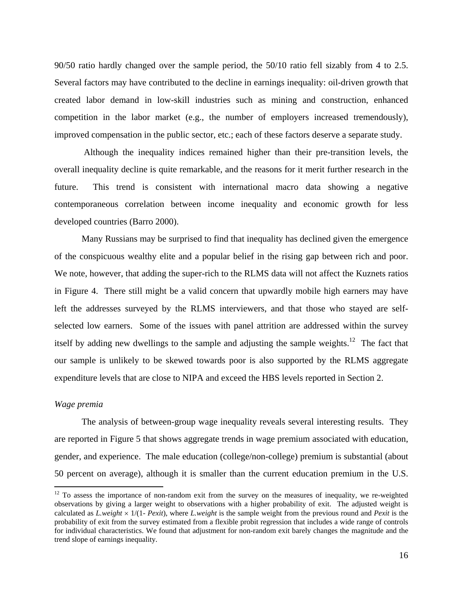90/50 ratio hardly changed over the sample period, the 50/10 ratio fell sizably from 4 to 2.5. Several factors may have contributed to the decline in earnings inequality: oil-driven growth that created labor demand in low-skill industries such as mining and construction, enhanced competition in the labor market (e.g., the number of employers increased tremendously), improved compensation in the public sector, etc.; each of these factors deserve a separate study.

 Although the inequality indices remained higher than their pre-transition levels, the overall inequality decline is quite remarkable, and the reasons for it merit further research in the future. This trend is consistent with international macro data showing a negative contemporaneous correlation between income inequality and economic growth for less developed countries (Barro 2000).

Many Russians may be surprised to find that inequality has declined given the emergence of the conspicuous wealthy elite and a popular belief in the rising gap between rich and poor. We note, however, that adding the super-rich to the RLMS data will not affect the Kuznets ratios in Figure 4. There still might be a valid concern that upwardly mobile high earners may have left the addresses surveyed by the RLMS interviewers, and that those who stayed are selfselected low earners. Some of the issues with panel attrition are addressed within the survey itself by adding new dwellings to the sample and adjusting the sample weights.<sup>12</sup> The fact that our sample is unlikely to be skewed towards poor is also supported by the RLMS aggregate expenditure levels that are close to NIPA and exceed the HBS levels reported in Section 2.

#### *Wage premia*

 $\overline{a}$ 

The analysis of between-group wage inequality reveals several interesting results. They are reported in Figure 5 that shows aggregate trends in wage premium associated with education, gender, and experience. The male education (college/non-college) premium is substantial (about 50 percent on average), although it is smaller than the current education premium in the U.S.

 $12$  To assess the importance of non-random exit from the survey on the measures of inequality, we re-weighted observations by giving a larger weight to observations with a higher probability of exit. The adjusted weight is calculated as *L.weight* × 1/(1- *Pexit*), where *L.weight* is the sample weight from the previous round and *Pexit* is the probability of exit from the survey estimated from a flexible probit regression that includes a wide range of controls for individual characteristics. We found that adjustment for non-random exit barely changes the magnitude and the trend slope of earnings inequality.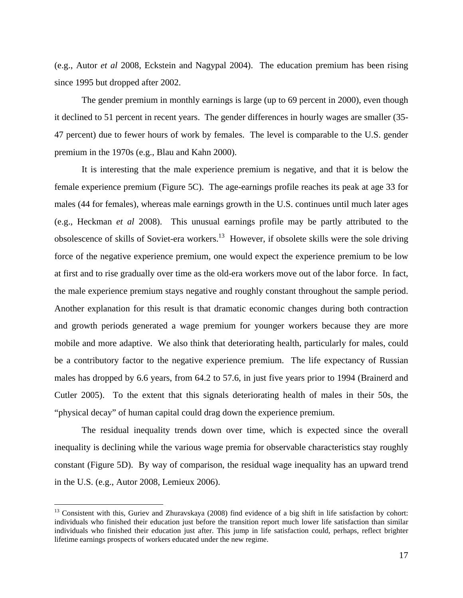(e.g., Autor *et al* 2008, Eckstein and Nagypal 2004). The education premium has been rising since 1995 but dropped after 2002.

The gender premium in monthly earnings is large (up to 69 percent in 2000), even though it declined to 51 percent in recent years. The gender differences in hourly wages are smaller (35- 47 percent) due to fewer hours of work by females. The level is comparable to the U.S. gender premium in the 1970s (e.g., Blau and Kahn 2000).

It is interesting that the male experience premium is negative, and that it is below the female experience premium (Figure 5C). The age-earnings profile reaches its peak at age 33 for males (44 for females), whereas male earnings growth in the U.S. continues until much later ages (e.g., Heckman *et al* 2008). This unusual earnings profile may be partly attributed to the obsolescence of skills of Soviet-era workers.13 However, if obsolete skills were the sole driving force of the negative experience premium, one would expect the experience premium to be low at first and to rise gradually over time as the old-era workers move out of the labor force. In fact, the male experience premium stays negative and roughly constant throughout the sample period. Another explanation for this result is that dramatic economic changes during both contraction and growth periods generated a wage premium for younger workers because they are more mobile and more adaptive. We also think that deteriorating health, particularly for males, could be a contributory factor to the negative experience premium. The life expectancy of Russian males has dropped by 6.6 years, from 64.2 to 57.6, in just five years prior to 1994 (Brainerd and Cutler 2005). To the extent that this signals deteriorating health of males in their 50s, the "physical decay" of human capital could drag down the experience premium.

The residual inequality trends down over time, which is expected since the overall inequality is declining while the various wage premia for observable characteristics stay roughly constant (Figure 5D). By way of comparison, the residual wage inequality has an upward trend in the U.S. (e.g., Autor 2008, Lemieux 2006).

 $\overline{a}$ 

<sup>&</sup>lt;sup>13</sup> Consistent with this, Guriev and Zhuravskaya (2008) find evidence of a big shift in life satisfaction by cohort: individuals who finished their education just before the transition report much lower life satisfaction than similar individuals who finished their education just after. This jump in life satisfaction could, perhaps, reflect brighter lifetime earnings prospects of workers educated under the new regime.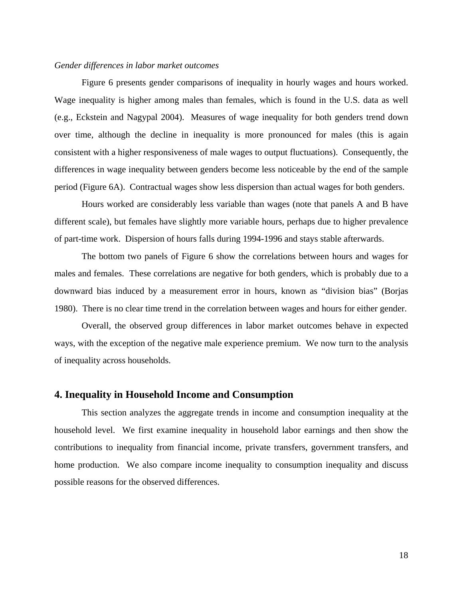#### *Gender differences in labor market outcomes*

Figure 6 presents gender comparisons of inequality in hourly wages and hours worked. Wage inequality is higher among males than females, which is found in the U.S. data as well (e.g., Eckstein and Nagypal 2004). Measures of wage inequality for both genders trend down over time, although the decline in inequality is more pronounced for males (this is again consistent with a higher responsiveness of male wages to output fluctuations). Consequently, the differences in wage inequality between genders become less noticeable by the end of the sample period (Figure 6A). Contractual wages show less dispersion than actual wages for both genders.

Hours worked are considerably less variable than wages (note that panels A and B have different scale), but females have slightly more variable hours, perhaps due to higher prevalence of part-time work. Dispersion of hours falls during 1994-1996 and stays stable afterwards.

The bottom two panels of Figure 6 show the correlations between hours and wages for males and females. These correlations are negative for both genders, which is probably due to a downward bias induced by a measurement error in hours, known as "division bias" (Borjas 1980). There is no clear time trend in the correlation between wages and hours for either gender.

Overall, the observed group differences in labor market outcomes behave in expected ways, with the exception of the negative male experience premium. We now turn to the analysis of inequality across households.

#### **4. Inequality in Household Income and Consumption**

This section analyzes the aggregate trends in income and consumption inequality at the household level. We first examine inequality in household labor earnings and then show the contributions to inequality from financial income, private transfers, government transfers, and home production. We also compare income inequality to consumption inequality and discuss possible reasons for the observed differences.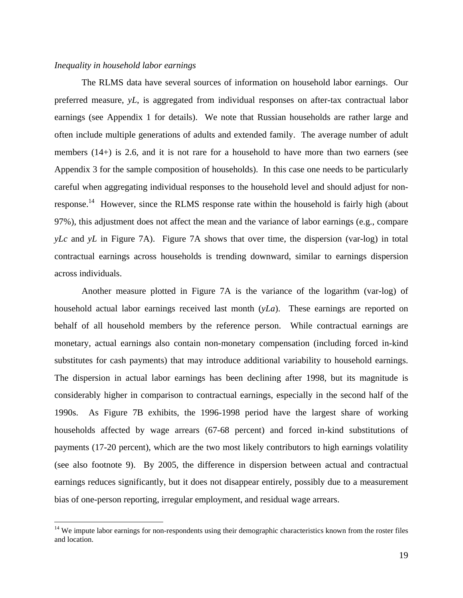#### *Inequality in household labor earnings*

 $\overline{a}$ 

The RLMS data have several sources of information on household labor earnings. Our preferred measure, *yL*, is aggregated from individual responses on after-tax contractual labor earnings (see Appendix 1 for details). We note that Russian households are rather large and often include multiple generations of adults and extended family. The average number of adult members (14+) is 2.6, and it is not rare for a household to have more than two earners (see Appendix 3 for the sample composition of households). In this case one needs to be particularly careful when aggregating individual responses to the household level and should adjust for nonresponse.<sup>14</sup> However, since the RLMS response rate within the household is fairly high (about 97%), this adjustment does not affect the mean and the variance of labor earnings (e.g., compare *yLc* and *yL* in Figure 7A). Figure 7A shows that over time, the dispersion (var-log) in total contractual earnings across households is trending downward, similar to earnings dispersion across individuals.

Another measure plotted in Figure 7A is the variance of the logarithm (var-log) of household actual labor earnings received last month (*yLa*). These earnings are reported on behalf of all household members by the reference person. While contractual earnings are monetary, actual earnings also contain non-monetary compensation (including forced in-kind substitutes for cash payments) that may introduce additional variability to household earnings. The dispersion in actual labor earnings has been declining after 1998, but its magnitude is considerably higher in comparison to contractual earnings, especially in the second half of the 1990s. As Figure 7B exhibits, the 1996-1998 period have the largest share of working households affected by wage arrears (67-68 percent) and forced in-kind substitutions of payments (17-20 percent), which are the two most likely contributors to high earnings volatility (see also footnote 9). By 2005, the difference in dispersion between actual and contractual earnings reduces significantly, but it does not disappear entirely, possibly due to a measurement bias of one-person reporting, irregular employment, and residual wage arrears.

<sup>&</sup>lt;sup>14</sup> We impute labor earnings for non-respondents using their demographic characteristics known from the roster files and location.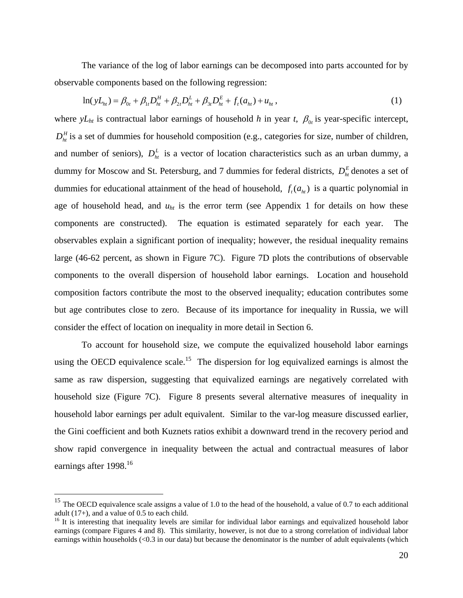The variance of the log of labor earnings can be decomposed into parts accounted for by observable components based on the following regression:

$$
\ln(yL_{ht}) = \beta_{0t} + \beta_{1t}D_{ht}^H + \beta_{2t}D_{ht}^L + \beta_{3t}D_{ht}^E + f_t(a_{ht}) + u_{ht},
$$
\n(1)

where  $yL<sub>ht</sub>$  is contractual labor earnings of household *h* in year *t*,  $\beta_{0t}$  is year-specific intercept,  $D_h^H$  is a set of dummies for household composition (e.g., categories for size, number of children, and number of seniors),  $D_h^L$  is a vector of location characteristics such as an urban dummy, a dummy for Moscow and St. Petersburg, and 7 dummies for federal districts,  $D_h^E$  denotes a set of dummies for educational attainment of the head of household,  $f_t(a_{i}$  is a quartic polynomial in age of household head, and  $u<sub>ht</sub>$  is the error term (see Appendix 1 for details on how these components are constructed). The equation is estimated separately for each year. The observables explain a significant portion of inequality; however, the residual inequality remains large (46-62 percent, as shown in Figure 7C). Figure 7D plots the contributions of observable components to the overall dispersion of household labor earnings. Location and household composition factors contribute the most to the observed inequality; education contributes some but age contributes close to zero. Because of its importance for inequality in Russia, we will consider the effect of location on inequality in more detail in Section 6.

To account for household size, we compute the equivalized household labor earnings using the OECD equivalence scale.<sup>15</sup> The dispersion for log equivalized earnings is almost the same as raw dispersion, suggesting that equivalized earnings are negatively correlated with household size (Figure 7C). Figure 8 presents several alternative measures of inequality in household labor earnings per adult equivalent. Similar to the var-log measure discussed earlier, the Gini coefficient and both Kuznets ratios exhibit a downward trend in the recovery period and show rapid convergence in inequality between the actual and contractual measures of labor earnings after 1998.<sup>16</sup>

1

<sup>&</sup>lt;sup>15</sup> The OECD equivalence scale assigns a value of 1.0 to the head of the household, a value of 0.7 to each additional adult  $(17+)$ , and a value of 0.5 to each child.

<sup>&</sup>lt;sup>16</sup> It is interesting that inequality levels are similar for individual labor earnings and equivalized household labor earnings (compare Figures 4 and 8). This similarity, however, is not due to a strong correlation of individual labor earnings within households (<0.3 in our data) but because the denominator is the number of adult equivalents (which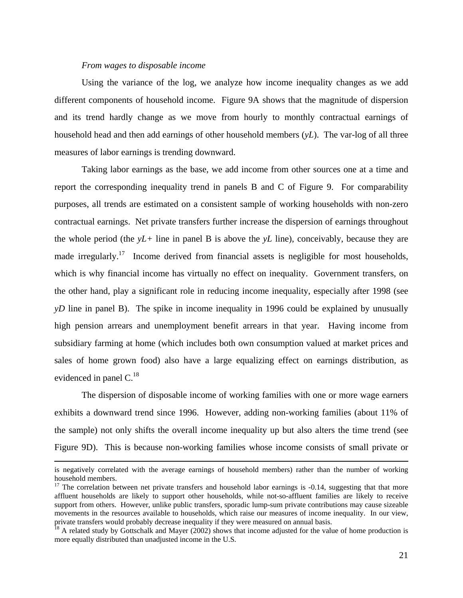### *From wages to disposable income*

Using the variance of the log, we analyze how income inequality changes as we add different components of household income. Figure 9A shows that the magnitude of dispersion and its trend hardly change as we move from hourly to monthly contractual earnings of household head and then add earnings of other household members (*yL*). The var-log of all three measures of labor earnings is trending downward.

Taking labor earnings as the base, we add income from other sources one at a time and report the corresponding inequality trend in panels B and C of Figure 9. For comparability purposes, all trends are estimated on a consistent sample of working households with non-zero contractual earnings. Net private transfers further increase the dispersion of earnings throughout the whole period (the *yL+* line in panel B is above the *yL* line), conceivably, because they are made irregularly.<sup>17</sup> Income derived from financial assets is negligible for most households, which is why financial income has virtually no effect on inequality. Government transfers, on the other hand, play a significant role in reducing income inequality, especially after 1998 (see *yD* line in panel B). The spike in income inequality in 1996 could be explained by unusually high pension arrears and unemployment benefit arrears in that year. Having income from subsidiary farming at home (which includes both own consumption valued at market prices and sales of home grown food) also have a large equalizing effect on earnings distribution, as evidenced in panel C.<sup>18</sup>

The dispersion of disposable income of working families with one or more wage earners exhibits a downward trend since 1996. However, adding non-working families (about 11% of the sample) not only shifts the overall income inequality up but also alters the time trend (see Figure 9D). This is because non-working families whose income consists of small private or

is negatively correlated with the average earnings of household members) rather than the number of working household members.

<sup>&</sup>lt;sup>17</sup> The correlation between net private transfers and household labor earnings is  $-0.14$ , suggesting that that more affluent households are likely to support other households, while not-so-affluent families are likely to receive support from others. However, unlike public transfers, sporadic lump-sum private contributions may cause sizeable movements in the resources available to households, which raise our measures of income inequality. In our view, private transfers would probably decrease inequality if they were measured on annual basis.

 $18$  A related study by Gottschalk and Mayer (2002) shows that income adjusted for the value of home production is more equally distributed than unadjusted income in the U.S.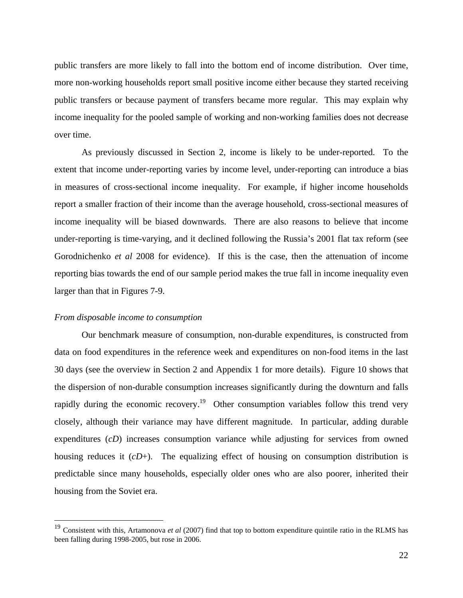public transfers are more likely to fall into the bottom end of income distribution. Over time, more non-working households report small positive income either because they started receiving public transfers or because payment of transfers became more regular. This may explain why income inequality for the pooled sample of working and non-working families does not decrease over time.

As previously discussed in Section 2, income is likely to be under-reported. To the extent that income under-reporting varies by income level, under-reporting can introduce a bias in measures of cross-sectional income inequality. For example, if higher income households report a smaller fraction of their income than the average household, cross-sectional measures of income inequality will be biased downwards. There are also reasons to believe that income under-reporting is time-varying, and it declined following the Russia's 2001 flat tax reform (see Gorodnichenko *et al* 2008 for evidence). If this is the case, then the attenuation of income reporting bias towards the end of our sample period makes the true fall in income inequality even larger than that in Figures 7-9.

#### *From disposable income to consumption*

1

Our benchmark measure of consumption, non-durable expenditures, is constructed from data on food expenditures in the reference week and expenditures on non-food items in the last 30 days (see the overview in Section 2 and Appendix 1 for more details). Figure 10 shows that the dispersion of non-durable consumption increases significantly during the downturn and falls rapidly during the economic recovery.<sup>19</sup> Other consumption variables follow this trend very closely, although their variance may have different magnitude. In particular, adding durable expenditures (*cD*) increases consumption variance while adjusting for services from owned housing reduces it (*cD*+). The equalizing effect of housing on consumption distribution is predictable since many households, especially older ones who are also poorer, inherited their housing from the Soviet era.

<sup>19</sup> Consistent with this, Artamonova *et al* (2007) find that top to bottom expenditure quintile ratio in the RLMS has been falling during 1998-2005, but rose in 2006.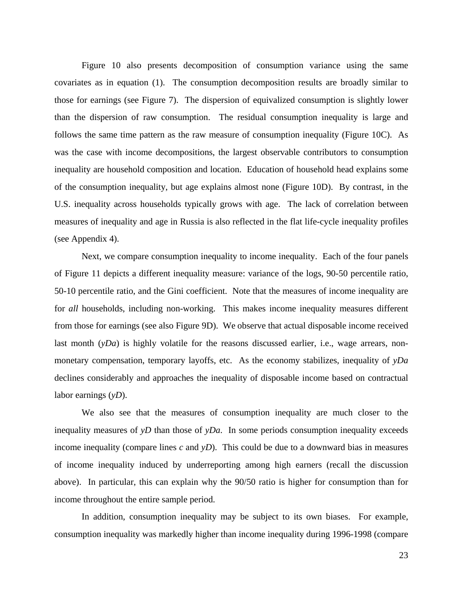Figure 10 also presents decomposition of consumption variance using the same covariates as in equation (1). The consumption decomposition results are broadly similar to those for earnings (see Figure 7). The dispersion of equivalized consumption is slightly lower than the dispersion of raw consumption. The residual consumption inequality is large and follows the same time pattern as the raw measure of consumption inequality (Figure 10C). As was the case with income decompositions, the largest observable contributors to consumption inequality are household composition and location. Education of household head explains some of the consumption inequality, but age explains almost none (Figure 10D). By contrast, in the U.S. inequality across households typically grows with age. The lack of correlation between measures of inequality and age in Russia is also reflected in the flat life-cycle inequality profiles (see Appendix 4).

Next, we compare consumption inequality to income inequality. Each of the four panels of Figure 11 depicts a different inequality measure: variance of the logs, 90-50 percentile ratio, 50-10 percentile ratio, and the Gini coefficient. Note that the measures of income inequality are for *all* households, including non-working. This makes income inequality measures different from those for earnings (see also Figure 9D). We observe that actual disposable income received last month (*yDa*) is highly volatile for the reasons discussed earlier, i.e., wage arrears, nonmonetary compensation, temporary layoffs, etc. As the economy stabilizes, inequality of *yDa* declines considerably and approaches the inequality of disposable income based on contractual labor earnings (*yD*).

We also see that the measures of consumption inequality are much closer to the inequality measures of *yD* than those of *yDa*. In some periods consumption inequality exceeds income inequality (compare lines *c* and *yD*). This could be due to a downward bias in measures of income inequality induced by underreporting among high earners (recall the discussion above). In particular, this can explain why the 90/50 ratio is higher for consumption than for income throughout the entire sample period.

In addition, consumption inequality may be subject to its own biases. For example, consumption inequality was markedly higher than income inequality during 1996-1998 (compare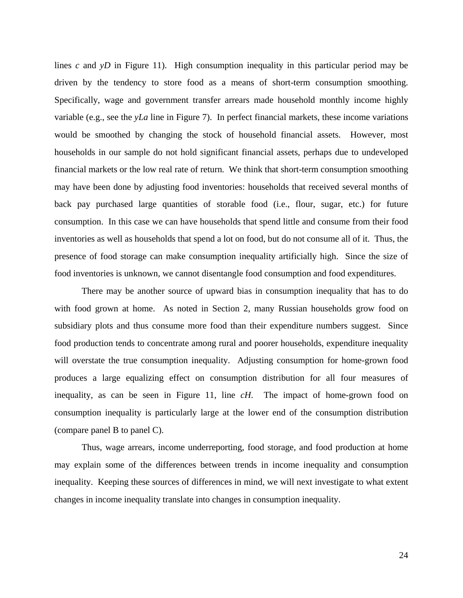lines *c* and *yD* in Figure 11). High consumption inequality in this particular period may be driven by the tendency to store food as a means of short-term consumption smoothing. Specifically, wage and government transfer arrears made household monthly income highly variable (e.g., see the *yLa* line in Figure 7). In perfect financial markets, these income variations would be smoothed by changing the stock of household financial assets. However, most households in our sample do not hold significant financial assets, perhaps due to undeveloped financial markets or the low real rate of return. We think that short-term consumption smoothing may have been done by adjusting food inventories: households that received several months of back pay purchased large quantities of storable food (i.e., flour, sugar, etc.) for future consumption. In this case we can have households that spend little and consume from their food inventories as well as households that spend a lot on food, but do not consume all of it. Thus, the presence of food storage can make consumption inequality artificially high. Since the size of food inventories is unknown, we cannot disentangle food consumption and food expenditures.

There may be another source of upward bias in consumption inequality that has to do with food grown at home. As noted in Section 2, many Russian households grow food on subsidiary plots and thus consume more food than their expenditure numbers suggest. Since food production tends to concentrate among rural and poorer households, expenditure inequality will overstate the true consumption inequality. Adjusting consumption for home-grown food produces a large equalizing effect on consumption distribution for all four measures of inequality, as can be seen in Figure 11, line *cH*. The impact of home-grown food on consumption inequality is particularly large at the lower end of the consumption distribution (compare panel B to panel C).

Thus, wage arrears, income underreporting, food storage, and food production at home may explain some of the differences between trends in income inequality and consumption inequality. Keeping these sources of differences in mind, we will next investigate to what extent changes in income inequality translate into changes in consumption inequality.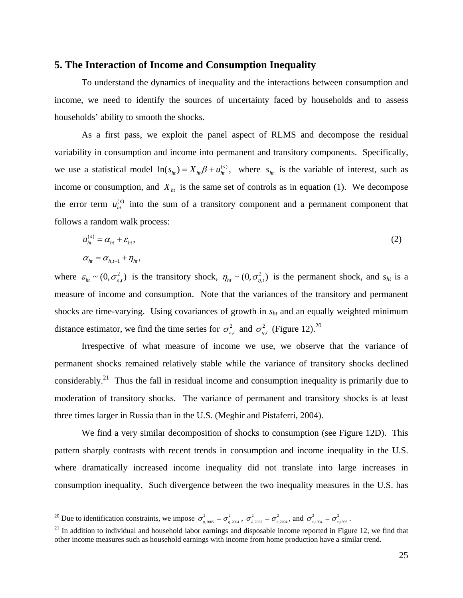#### **5. The Interaction of Income and Consumption Inequality**

To understand the dynamics of inequality and the interactions between consumption and income, we need to identify the sources of uncertainty faced by households and to assess households' ability to smooth the shocks.

As a first pass, we exploit the panel aspect of RLMS and decompose the residual variability in consumption and income into permanent and transitory components. Specifically, we use a statistical model  $\ln(s_{ht}) = X_{ht} \beta + u_{ht}^{(s)}$ , where  $s_{ht}$  is the variable of interest, such as income or consumption, and  $X<sub>ht</sub>$  is the same set of controls as in equation (1). We decompose the error term  $u_{ht}^{(s)}$  into the sum of a transitory component and a permanent component that follows a random walk process:

$$
u_{ht}^{(s)} = \alpha_{ht} + \varepsilon_{ht},
$$
  
\n
$$
\alpha_{ht} = \alpha_{ht} + \eta_{ht},
$$
  
\n(2)

where  $\varepsilon_{h} \sim (0, \sigma_{\varepsilon,t}^2)$  is the transitory shock,  $\eta_{h} \sim (0, \sigma_{\eta,t}^2)$  is the permanent shock, and  $s_{h}$  is a measure of income and consumption. Note that the variances of the transitory and permanent shocks are time-varying. Using covariances of growth in  $s<sub>ht</sub>$  and an equally weighted minimum distance estimator, we find the time series for  $\sigma_{\varepsilon t}^2$  and  $\sigma_{n,t}^2$  (Figure 12).<sup>20</sup>

Irrespective of what measure of income we use, we observe that the variance of permanent shocks remained relatively stable while the variance of transitory shocks declined considerably.<sup>21</sup> Thus the fall in residual income and consumption inequality is primarily due to moderation of transitory shocks. The variance of permanent and transitory shocks is at least three times larger in Russia than in the U.S. (Meghir and Pistaferri, 2004).

We find a very similar decomposition of shocks to consumption (see Figure 12D). This pattern sharply contrasts with recent trends in consumption and income inequality in the U.S. where dramatically increased income inequality did not translate into large increases in consumption inequality. Such divergence between the two inequality measures in the U.S. has

<u>.</u>

<sup>&</sup>lt;sup>20</sup> Due to identification constraints, we impose  $\sigma_{\eta,2005}^2 = \sigma_{\eta,2004}^2$ ,  $\sigma_{\varepsilon,2004}^2 = \sigma_{\varepsilon,2004}^2$ , and  $\sigma_{\varepsilon,1994}^2 = \sigma_{\varepsilon,1995}^2$ .

 $21$  In addition to individual and household labor earnings and disposable income reported in Figure 12, we find that other income measures such as household earnings with income from home production have a similar trend.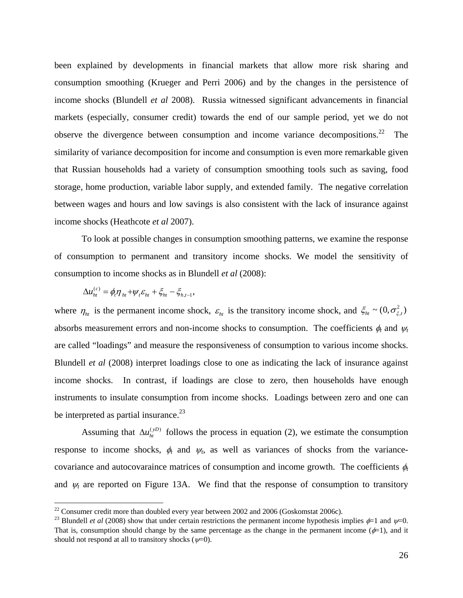been explained by developments in financial markets that allow more risk sharing and consumption smoothing (Krueger and Perri 2006) and by the changes in the persistence of income shocks (Blundell *et al* 2008). Russia witnessed significant advancements in financial markets (especially, consumer credit) towards the end of our sample period, yet we do not observe the divergence between consumption and income variance decompositions.<sup>22</sup> The similarity of variance decomposition for income and consumption is even more remarkable given that Russian households had a variety of consumption smoothing tools such as saving, food storage, home production, variable labor supply, and extended family. The negative correlation between wages and hours and low savings is also consistent with the lack of insurance against income shocks (Heathcote *et al* 2007).

To look at possible changes in consumption smoothing patterns, we examine the response of consumption to permanent and transitory income shocks. We model the sensitivity of consumption to income shocks as in Blundell *et al* (2008):

$$
\Delta u_{ht}^{(c)} = \phi_t \eta_{ht} + \psi_t \varepsilon_{ht} + \xi_{ht} - \xi_{h,t-1},
$$

<u>.</u>

where  $\eta_{ht}$  is the permanent income shock,  $\varepsilon_{ht}$  is the transitory income shock, and  $\xi_{ht} \sim (0, \sigma_{\xi,t}^2)$ absorbs measurement errors and non-income shocks to consumption. The coefficients  $\phi_t$  and  $\psi_t$ are called "loadings" and measure the responsiveness of consumption to various income shocks. Blundell *et al* (2008) interpret loadings close to one as indicating the lack of insurance against income shocks. In contrast, if loadings are close to zero, then households have enough instruments to insulate consumption from income shocks. Loadings between zero and one can be interpreted as partial insurance. $^{23}$ 

Assuming that  $\Delta u_{ht}^{(yD)}$  follows the process in equation (2), we estimate the consumption response to income shocks,  $\phi_t$  and  $\psi_t$ , as well as variances of shocks from the variancecovariance and autocovaraince matrices of consumption and income growth. The coefficients  $\phi_t$ and  $\psi_t$  are reported on Figure 13A. We find that the response of consumption to transitory

 $22$  Consumer credit more than doubled every year between 2002 and 2006 (Goskomstat 2006c).

<sup>&</sup>lt;sup>23</sup> Blundell *et al* (2008) show that under certain restrictions the permanent income hypothesis implies  $\phi$ =1 and  $\psi$ =0. That is, consumption should change by the same percentage as the change in the permanent income ( $\phi$ =1), and it should not respond at all to transitory shocks  $(\psi=0)$ .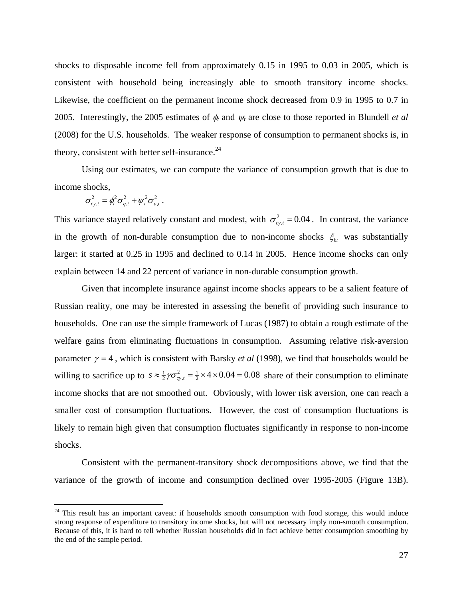shocks to disposable income fell from approximately 0.15 in 1995 to 0.03 in 2005, which is consistent with household being increasingly able to smooth transitory income shocks. Likewise, the coefficient on the permanent income shock decreased from 0.9 in 1995 to 0.7 in 2005. Interestingly, the 2005 estimates of φ*t* and <sup>ψ</sup>*t* are close to those reported in Blundell *et al* (2008) for the U.S. households. The weaker response of consumption to permanent shocks is, in theory, consistent with better self-insurance. $24$ 

Using our estimates, we can compute the variance of consumption growth that is due to income shocks,

$$
\sigma_{cy,t}^2 = \phi_t^2 \sigma_{\eta,t}^2 + \psi_t^2 \sigma_{\varepsilon,t}^2.
$$

 $\overline{a}$ 

This variance stayed relatively constant and modest, with  $\sigma_{cyl}^2 = 0.04$ . In contrast, the variance in the growth of non-durable consumption due to non-income shocks  $\xi_{ht}$  was substantially larger: it started at 0.25 in 1995 and declined to 0.14 in 2005. Hence income shocks can only explain between 14 and 22 percent of variance in non-durable consumption growth.

Given that incomplete insurance against income shocks appears to be a salient feature of Russian reality, one may be interested in assessing the benefit of providing such insurance to households. One can use the simple framework of Lucas (1987) to obtain a rough estimate of the welfare gains from eliminating fluctuations in consumption. Assuming relative risk-aversion parameter  $\gamma = 4$ , which is consistent with Barsky *et al* (1998), we find that households would be willing to sacrifice up to  $s \approx \frac{1}{2} \gamma \sigma_{cy,t}^2 = \frac{1}{2} \times 4 \times 0.04 = 0.08$  share of their consumption to eliminate income shocks that are not smoothed out. Obviously, with lower risk aversion, one can reach a smaller cost of consumption fluctuations. However, the cost of consumption fluctuations is likely to remain high given that consumption fluctuates significantly in response to non-income shocks.

Consistent with the permanent-transitory shock decompositions above, we find that the variance of the growth of income and consumption declined over 1995-2005 (Figure 13B).

<sup>&</sup>lt;sup>24</sup> This result has an important caveat: if households smooth consumption with food storage, this would induce strong response of expenditure to transitory income shocks, but will not necessary imply non-smooth consumption. Because of this, it is hard to tell whether Russian households did in fact achieve better consumption smoothing by the end of the sample period.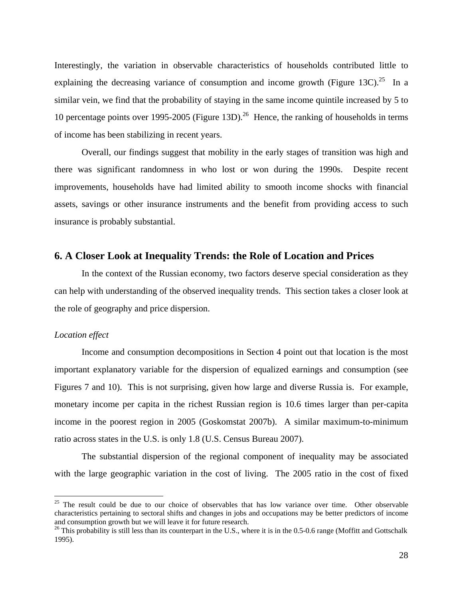Interestingly, the variation in observable characteristics of households contributed little to explaining the decreasing variance of consumption and income growth (Figure 13C).<sup>25</sup> In a similar vein, we find that the probability of staying in the same income quintile increased by 5 to 10 percentage points over 1995-2005 (Figure 13D).<sup>26</sup> Hence, the ranking of households in terms of income has been stabilizing in recent years.

Overall, our findings suggest that mobility in the early stages of transition was high and there was significant randomness in who lost or won during the 1990s. Despite recent improvements, households have had limited ability to smooth income shocks with financial assets, savings or other insurance instruments and the benefit from providing access to such insurance is probably substantial.

### **6. A Closer Look at Inequality Trends: the Role of Location and Prices**

 In the context of the Russian economy, two factors deserve special consideration as they can help with understanding of the observed inequality trends. This section takes a closer look at the role of geography and price dispersion.

#### *Location effect*

 $\overline{a}$ 

Income and consumption decompositions in Section 4 point out that location is the most important explanatory variable for the dispersion of equalized earnings and consumption (see Figures 7 and 10). This is not surprising, given how large and diverse Russia is. For example, monetary income per capita in the richest Russian region is 10.6 times larger than per-capita income in the poorest region in 2005 (Goskomstat 2007b). A similar maximum-to-minimum ratio across states in the U.S. is only 1.8 (U.S. Census Bureau 2007).

The substantial dispersion of the regional component of inequality may be associated with the large geographic variation in the cost of living. The 2005 ratio in the cost of fixed

 $25$  The result could be due to our choice of observables that has low variance over time. Other observable characteristics pertaining to sectoral shifts and changes in jobs and occupations may be better predictors of income and consumption growth but we will leave it for future research.

<sup>&</sup>lt;sup>26</sup> This probability is still less than its counterpart in the U.S., where it is in the 0.5-0.6 range (Moffitt and Gottschalk 1995).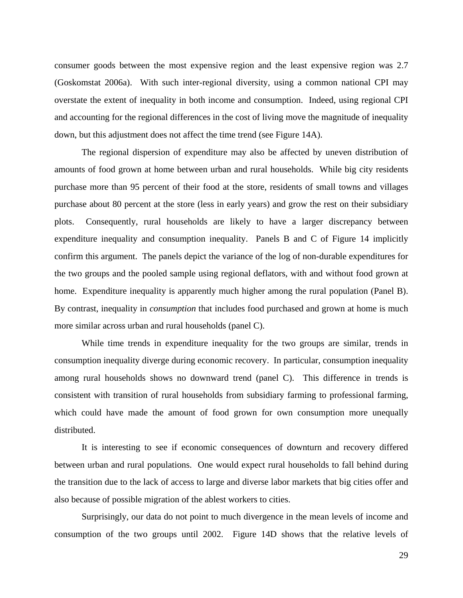consumer goods between the most expensive region and the least expensive region was 2.7 (Goskomstat 2006a). With such inter-regional diversity, using a common national CPI may overstate the extent of inequality in both income and consumption. Indeed, using regional CPI and accounting for the regional differences in the cost of living move the magnitude of inequality down, but this adjustment does not affect the time trend (see Figure 14A).

The regional dispersion of expenditure may also be affected by uneven distribution of amounts of food grown at home between urban and rural households. While big city residents purchase more than 95 percent of their food at the store, residents of small towns and villages purchase about 80 percent at the store (less in early years) and grow the rest on their subsidiary plots. Consequently, rural households are likely to have a larger discrepancy between expenditure inequality and consumption inequality. Panels B and C of Figure 14 implicitly confirm this argument. The panels depict the variance of the log of non-durable expenditures for the two groups and the pooled sample using regional deflators, with and without food grown at home. Expenditure inequality is apparently much higher among the rural population (Panel B). By contrast, inequality in *consumption* that includes food purchased and grown at home is much more similar across urban and rural households (panel C).

While time trends in expenditure inequality for the two groups are similar, trends in consumption inequality diverge during economic recovery. In particular, consumption inequality among rural households shows no downward trend (panel C). This difference in trends is consistent with transition of rural households from subsidiary farming to professional farming, which could have made the amount of food grown for own consumption more unequally distributed.

It is interesting to see if economic consequences of downturn and recovery differed between urban and rural populations. One would expect rural households to fall behind during the transition due to the lack of access to large and diverse labor markets that big cities offer and also because of possible migration of the ablest workers to cities.

Surprisingly, our data do not point to much divergence in the mean levels of income and consumption of the two groups until 2002. Figure 14D shows that the relative levels of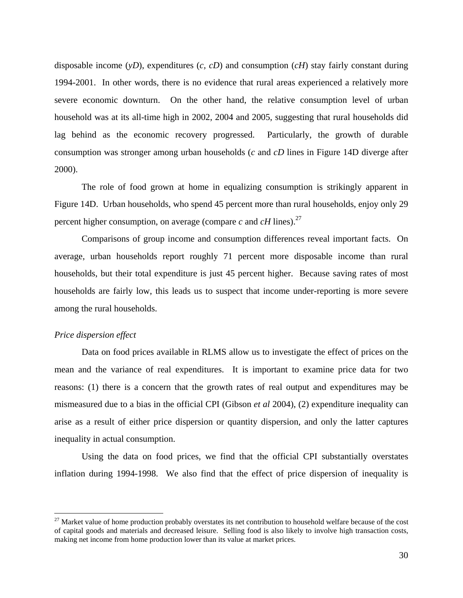disposable income (*yD*), expenditures (*c, cD*) and consumption (*cH*) stay fairly constant during 1994-2001. In other words, there is no evidence that rural areas experienced a relatively more severe economic downturn. On the other hand, the relative consumption level of urban household was at its all-time high in 2002, 2004 and 2005, suggesting that rural households did lag behind as the economic recovery progressed. Particularly, the growth of durable consumption was stronger among urban households (*c* and *cD* lines in Figure 14D diverge after 2000).

The role of food grown at home in equalizing consumption is strikingly apparent in Figure 14D. Urban households, who spend 45 percent more than rural households, enjoy only 29 percent higher consumption, on average (compare  $c$  and  $cH$  lines).<sup>27</sup>

Comparisons of group income and consumption differences reveal important facts. On average, urban households report roughly 71 percent more disposable income than rural households, but their total expenditure is just 45 percent higher. Because saving rates of most households are fairly low, this leads us to suspect that income under-reporting is more severe among the rural households.

#### *Price dispersion effect*

 $\overline{a}$ 

Data on food prices available in RLMS allow us to investigate the effect of prices on the mean and the variance of real expenditures. It is important to examine price data for two reasons: (1) there is a concern that the growth rates of real output and expenditures may be mismeasured due to a bias in the official CPI (Gibson *et al* 2004), (2) expenditure inequality can arise as a result of either price dispersion or quantity dispersion, and only the latter captures inequality in actual consumption.

Using the data on food prices, we find that the official CPI substantially overstates inflation during 1994-1998. We also find that the effect of price dispersion of inequality is

 $27$  Market value of home production probably overstates its net contribution to household welfare because of the cost of capital goods and materials and decreased leisure. Selling food is also likely to involve high transaction costs, making net income from home production lower than its value at market prices.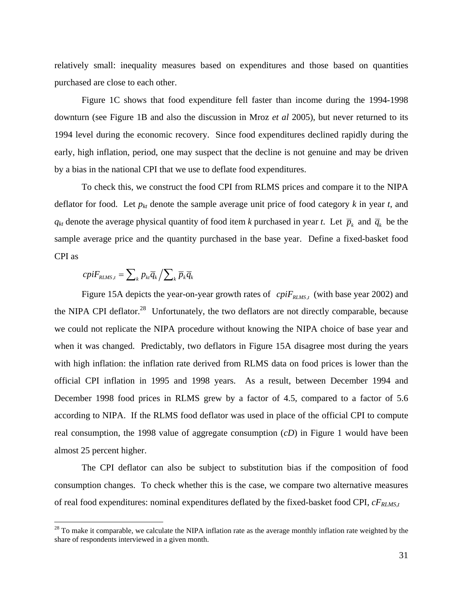relatively small: inequality measures based on expenditures and those based on quantities purchased are close to each other.

Figure 1C shows that food expenditure fell faster than income during the 1994-1998 downturn (see Figure 1B and also the discussion in Mroz *et al* 2005), but never returned to its 1994 level during the economic recovery. Since food expenditures declined rapidly during the early, high inflation, period, one may suspect that the decline is not genuine and may be driven by a bias in the national CPI that we use to deflate food expenditures.

To check this, we construct the food CPI from RLMS prices and compare it to the NIPA deflator for food. Let  $p_{kt}$  denote the sample average unit price of food category  $k$  in year  $t$ , and *q<sub>kt</sub>* denote the average physical quantity of food item *k* purchased in year *t*. Let  $\bar{p}_k$  and  $\bar{q}_k$  be the sample average price and the quantity purchased in the base year. Define a fixed-basket food CPI as

$$
cpiF_{RLMS,t} = \sum_{k} p_{kt} \overline{q}_{k} / \sum_{k} \overline{p}_{k} \overline{q}_{k}
$$

 $\overline{a}$ 

Figure 15A depicts the year-on-year growth rates of *cpiF<sub>RLMS,t</sub>* (with base year 2002) and the NIPA CPI deflator.<sup>28</sup> Unfortunately, the two deflators are not directly comparable, because we could not replicate the NIPA procedure without knowing the NIPA choice of base year and when it was changed. Predictably, two deflators in Figure 15A disagree most during the years with high inflation: the inflation rate derived from RLMS data on food prices is lower than the official CPI inflation in 1995 and 1998 years. As a result, between December 1994 and December 1998 food prices in RLMS grew by a factor of 4.5, compared to a factor of 5.6 according to NIPA. If the RLMS food deflator was used in place of the official CPI to compute real consumption, the 1998 value of aggregate consumption (*cD*) in Figure 1 would have been almost 25 percent higher.

The CPI deflator can also be subject to substitution bias if the composition of food consumption changes. To check whether this is the case, we compare two alternative measures of real food expenditures: nominal expenditures deflated by the fixed-basket food CPI, *cFRLMS,t*

 $28$  To make it comparable, we calculate the NIPA inflation rate as the average monthly inflation rate weighted by the share of respondents interviewed in a given month.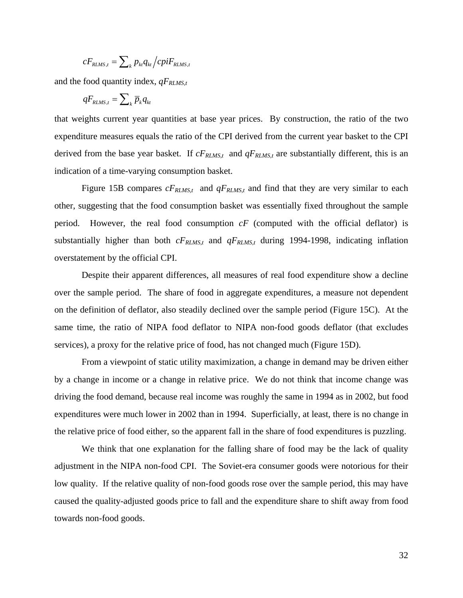$$
cF_{RLMS,t} = \sum_{k} p_{kt} q_{kt} / cpiF_{RLMS,t}
$$

and the food quantity index,  $qF_{RLMS,t}$ 

$$
qF_{\scriptscriptstyle R L M S,t} = \sum\nolimits_k \overline{p}_k q_{kt}
$$

that weights current year quantities at base year prices. By construction, the ratio of the two expenditure measures equals the ratio of the CPI derived from the current year basket to the CPI derived from the base year basket. If  $cF_{RLMS,t}$  and  $qF_{RLMS,t}$  are substantially different, this is an indication of a time-varying consumption basket.

Figure 15B compares  $cF_{RLMS,t}$  and  $qF_{RLMS,t}$  and find that they are very similar to each other, suggesting that the food consumption basket was essentially fixed throughout the sample period. However, the real food consumption *cF* (computed with the official deflator) is substantially higher than both  $cF_{RLMS,t}$  and  $qF_{RLMS,t}$  during 1994-1998, indicating inflation overstatement by the official CPI.

Despite their apparent differences, all measures of real food expenditure show a decline over the sample period. The share of food in aggregate expenditures, a measure not dependent on the definition of deflator, also steadily declined over the sample period (Figure 15C). At the same time, the ratio of NIPA food deflator to NIPA non-food goods deflator (that excludes services), a proxy for the relative price of food, has not changed much (Figure 15D).

From a viewpoint of static utility maximization, a change in demand may be driven either by a change in income or a change in relative price. We do not think that income change was driving the food demand, because real income was roughly the same in 1994 as in 2002, but food expenditures were much lower in 2002 than in 1994. Superficially, at least, there is no change in the relative price of food either, so the apparent fall in the share of food expenditures is puzzling.

We think that one explanation for the falling share of food may be the lack of quality adjustment in the NIPA non-food CPI. The Soviet-era consumer goods were notorious for their low quality. If the relative quality of non-food goods rose over the sample period, this may have caused the quality-adjusted goods price to fall and the expenditure share to shift away from food towards non-food goods.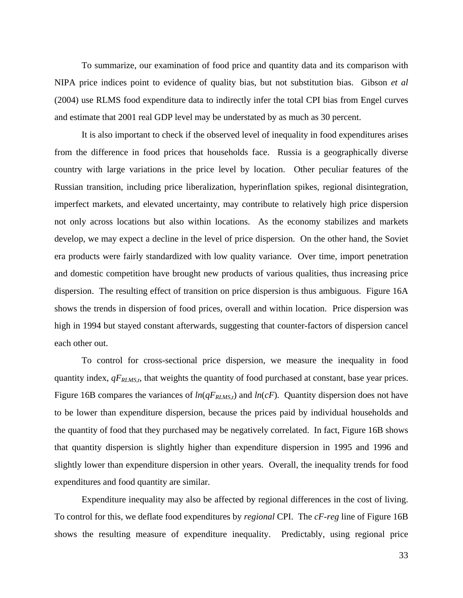To summarize, our examination of food price and quantity data and its comparison with NIPA price indices point to evidence of quality bias, but not substitution bias. Gibson *et al* (2004) use RLMS food expenditure data to indirectly infer the total CPI bias from Engel curves and estimate that 2001 real GDP level may be understated by as much as 30 percent.

It is also important to check if the observed level of inequality in food expenditures arises from the difference in food prices that households face. Russia is a geographically diverse country with large variations in the price level by location. Other peculiar features of the Russian transition, including price liberalization, hyperinflation spikes, regional disintegration, imperfect markets, and elevated uncertainty, may contribute to relatively high price dispersion not only across locations but also within locations. As the economy stabilizes and markets develop, we may expect a decline in the level of price dispersion. On the other hand, the Soviet era products were fairly standardized with low quality variance. Over time, import penetration and domestic competition have brought new products of various qualities, thus increasing price dispersion. The resulting effect of transition on price dispersion is thus ambiguous. Figure 16A shows the trends in dispersion of food prices, overall and within location. Price dispersion was high in 1994 but stayed constant afterwards, suggesting that counter-factors of dispersion cancel each other out.

To control for cross-sectional price dispersion, we measure the inequality in food quantity index,  $qF<sub>RLMS,t</sub>$ , that weights the quantity of food purchased at constant, base year prices. Figure 16B compares the variances of  $ln(qF_{RLMS,t})$  and  $ln(cF)$ . Quantity dispersion does not have to be lower than expenditure dispersion, because the prices paid by individual households and the quantity of food that they purchased may be negatively correlated. In fact, Figure 16B shows that quantity dispersion is slightly higher than expenditure dispersion in 1995 and 1996 and slightly lower than expenditure dispersion in other years. Overall, the inequality trends for food expenditures and food quantity are similar.

Expenditure inequality may also be affected by regional differences in the cost of living. To control for this, we deflate food expenditures by *regional* CPI. The *cF-reg* line of Figure 16B shows the resulting measure of expenditure inequality. Predictably, using regional price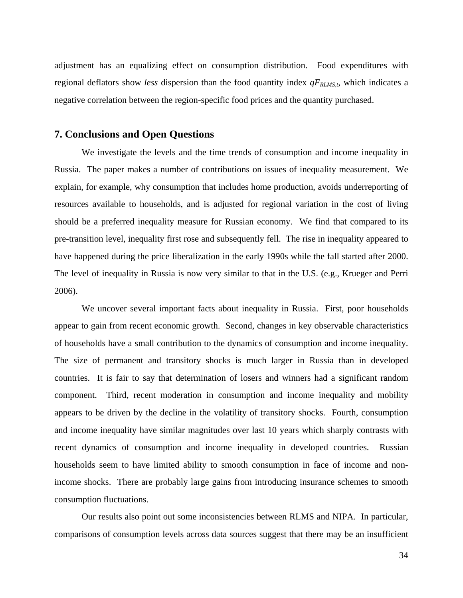adjustment has an equalizing effect on consumption distribution. Food expenditures with regional deflators show *less* dispersion than the food quantity index  $qF<sub>RLMS,t</sub>$ , which indicates a negative correlation between the region-specific food prices and the quantity purchased.

### **7. Conclusions and Open Questions**

We investigate the levels and the time trends of consumption and income inequality in Russia. The paper makes a number of contributions on issues of inequality measurement. We explain, for example, why consumption that includes home production, avoids underreporting of resources available to households, and is adjusted for regional variation in the cost of living should be a preferred inequality measure for Russian economy. We find that compared to its pre-transition level, inequality first rose and subsequently fell. The rise in inequality appeared to have happened during the price liberalization in the early 1990s while the fall started after 2000. The level of inequality in Russia is now very similar to that in the U.S. (e.g., Krueger and Perri 2006).

We uncover several important facts about inequality in Russia. First, poor households appear to gain from recent economic growth. Second, changes in key observable characteristics of households have a small contribution to the dynamics of consumption and income inequality. The size of permanent and transitory shocks is much larger in Russia than in developed countries. It is fair to say that determination of losers and winners had a significant random component. Third, recent moderation in consumption and income inequality and mobility appears to be driven by the decline in the volatility of transitory shocks. Fourth, consumption and income inequality have similar magnitudes over last 10 years which sharply contrasts with recent dynamics of consumption and income inequality in developed countries. Russian households seem to have limited ability to smooth consumption in face of income and nonincome shocks. There are probably large gains from introducing insurance schemes to smooth consumption fluctuations.

Our results also point out some inconsistencies between RLMS and NIPA. In particular, comparisons of consumption levels across data sources suggest that there may be an insufficient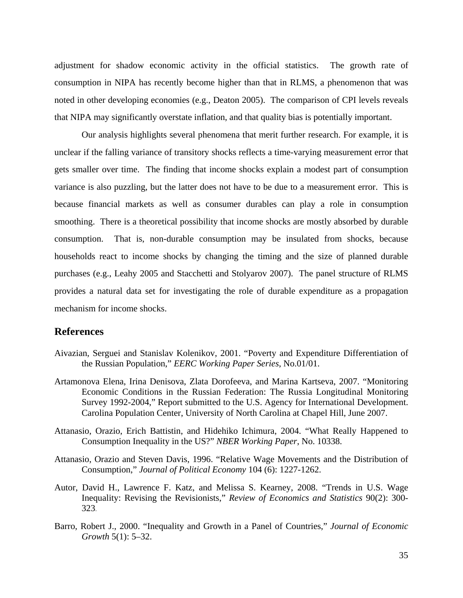adjustment for shadow economic activity in the official statistics. The growth rate of consumption in NIPA has recently become higher than that in RLMS, a phenomenon that was noted in other developing economies (e.g., Deaton 2005). The comparison of CPI levels reveals that NIPA may significantly overstate inflation, and that quality bias is potentially important.

Our analysis highlights several phenomena that merit further research. For example, it is unclear if the falling variance of transitory shocks reflects a time-varying measurement error that gets smaller over time. The finding that income shocks explain a modest part of consumption variance is also puzzling, but the latter does not have to be due to a measurement error. This is because financial markets as well as consumer durables can play a role in consumption smoothing. There is a theoretical possibility that income shocks are mostly absorbed by durable consumption. That is, non-durable consumption may be insulated from shocks, because households react to income shocks by changing the timing and the size of planned durable purchases (e.g., Leahy 2005 and Stacchetti and Stolyarov 2007). The panel structure of RLMS provides a natural data set for investigating the role of durable expenditure as a propagation mechanism for income shocks.

### **References**

- Aivazian, Serguei and Stanislav Kolenikov, 2001. "Poverty and Expenditure Differentiation of the Russian Population," *EERC Working Paper Series*, No.01/01.
- Artamonova Elena, Irina Denisova, Zlata Dorofeeva, and Marina Kartseva, 2007. "Monitoring Economic Conditions in the Russian Federation: The Russia Longitudinal Monitoring Survey 1992-2004," Report submitted to the U.S. Agency for International Development. Carolina Population Center, University of North Carolina at Chapel Hill, June 2007.
- Attanasio, Orazio, Erich Battistin, and Hidehiko Ichimura, 2004. "What Really Happened to Consumption Inequality in the US?" *NBER Working Paper*, No. 10338.
- Attanasio, Orazio and Steven Davis, 1996. "Relative Wage Movements and the Distribution of Consumption," *Journal of Political Economy* 104 (6): 1227-1262.
- Autor, David H., Lawrence F. Katz, and Melissa S. Kearney, 2008. "Trends in U.S. Wage Inequality: Revising the Revisionists," *Review of Economics and Statistics* 90(2): 300- 323.
- Barro, Robert J., 2000. "Inequality and Growth in a Panel of Countries," *Journal of Economic Growth* 5(1): 5–32.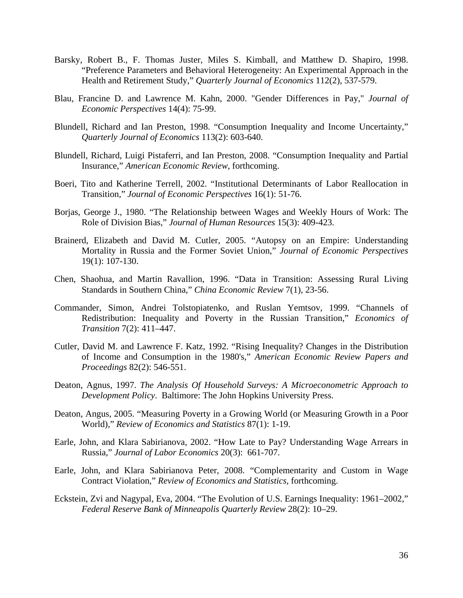- Barsky, Robert B., F. Thomas Juster, Miles S. Kimball, and Matthew D. Shapiro, 1998. "Preference Parameters and Behavioral Heterogeneity: An Experimental Approach in the Health and Retirement Study," *Quarterly Journal of Economics* 112(2), 537-579.
- Blau, Francine D. and Lawrence M. Kahn, 2000. "Gender Differences in Pay," *Journal of Economic Perspectives* 14(4): 75-99.
- Blundell, Richard and Ian Preston, 1998. "Consumption Inequality and Income Uncertainty," *Quarterly Journal of Economics* 113(2): 603-640.
- Blundell, Richard, Luigi Pistaferri, and Ian Preston, 2008. "Consumption Inequality and Partial Insurance," *American Economic Review*, forthcoming.
- Boeri, Tito and Katherine Terrell, 2002. "Institutional Determinants of Labor Reallocation in Transition," *Journal of Economic Perspectives* 16(1): 51-76.
- Borjas, George J., 1980. "The Relationship between Wages and Weekly Hours of Work: The Role of Division Bias," *Journal of Human Resources* 15(3): 409-423.
- Brainerd, Elizabeth and David M. Cutler, 2005. "Autopsy on an Empire: Understanding Mortality in Russia and the Former Soviet Union," *Journal of Economic Perspectives* 19(1): 107-130.
- Chen, Shaohua, and Martin Ravallion, 1996. "Data in Transition: Assessing Rural Living Standards in Southern China," *China Economic Review* 7(1), 23-56.
- Commander, Simon, Andrei Tolstopiatenko, and Ruslan Yemtsov, 1999. "Channels of Redistribution: Inequality and Poverty in the Russian Transition," *Economics of Transition* 7(2): 411–447.
- Cutler, David M. and Lawrence F. Katz, 1992. "Rising Inequality? Changes in the Distribution of Income and Consumption in the 1980's," *American Economic Review Papers and Proceedings* 82(2): 546-551.
- Deaton, Agnus, 1997. *The Analysis Of Household Surveys: A Microeconometric Approach to Development Policy*. Baltimore: The John Hopkins University Press.
- Deaton, Angus, 2005. "Measuring Poverty in a Growing World (or Measuring Growth in a Poor World)," *Review of Economics and Statistics* 87(1): 1-19.
- Earle, John, and Klara Sabirianova, 2002. "How Late to Pay? Understanding Wage Arrears in Russia," *Journal of Labor Economics* 20(3): 661-707.
- Earle, John, and Klara Sabirianova Peter, 2008. "Complementarity and Custom in Wage Contract Violation," *Review of Economics and Statistics,* forthcoming.
- Eckstein, Zvi and Nagypal, Eva, 2004. "The Evolution of U.S. Earnings Inequality: 1961–2002," *Federal Reserve Bank of Minneapolis Quarterly Review* 28(2): 10–29.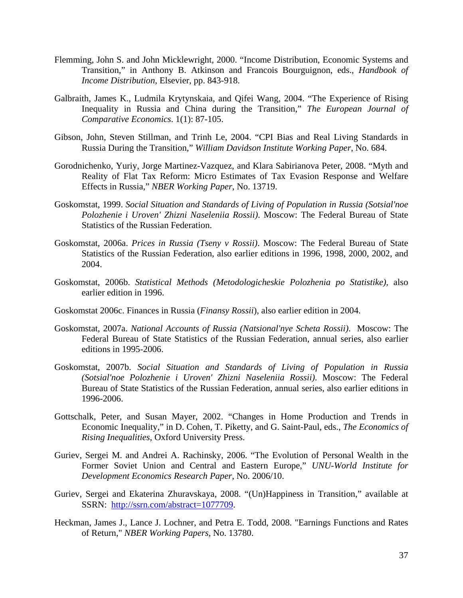- Flemming, John S. and John Micklewright, 2000. "Income Distribution, Economic Systems and Transition," in Anthony B. Atkinson and Francois Bourguignon, eds., *Handbook of Income Distribution*, Elsevier, pp. 843-918.
- Galbraith, James K., Ludmila Krytynskaia, and Qifei Wang, 2004. "The Experience of Rising Inequality in Russia and China during the Transition," *The European Journal of Comparative Economics*. 1(1): 87-105.
- Gibson, John, Steven Stillman, and Trinh Le, 2004. "CPI Bias and Real Living Standards in Russia During the Transition," *William Davidson Institute Working Paper*, No. 684.
- Gorodnichenko, Yuriy, Jorge Martinez-Vazquez, and Klara Sabirianova Peter, 2008. "Myth and Reality of Flat Tax Reform: Micro Estimates of Tax Evasion Response and Welfare Effects in Russia," *NBER Working Paper*, No. 13719.
- Goskomstat, 1999. *Social Situation and Standards of Living of Population in Russia (Sotsial'noe Polozhenie i Uroven' Zhizni Naseleniia Rossii)*. Moscow: The Federal Bureau of State Statistics of the Russian Federation.
- Goskomstat, 2006a. *Prices in Russia (Tseny v Rossii)*. Moscow: The Federal Bureau of State Statistics of the Russian Federation, also earlier editions in 1996, 1998, 2000, 2002, and 2004.
- Goskomstat, 2006b. *Statistical Methods (Metodologicheskie Polozhenia po Statistike)*, also earlier edition in 1996.
- Goskomstat 2006c. Finances in Russia (*Finansy Rossii*), also earlier edition in 2004.
- Goskomstat, 2007a. *National Accounts of Russia (Natsional'nye Scheta Rossii)*. Moscow: The Federal Bureau of State Statistics of the Russian Federation, annual series, also earlier editions in 1995-2006.
- Goskomstat, 2007b. *Social Situation and Standards of Living of Population in Russia (Sotsial'noe Polozhenie i Uroven' Zhizni Naseleniia Rossii)*. Moscow: The Federal Bureau of State Statistics of the Russian Federation, annual series, also earlier editions in 1996-2006.
- Gottschalk, Peter, and Susan Mayer, 2002. "Changes in Home Production and Trends in Economic Inequality," in D. Cohen, T. Piketty, and G. Saint-Paul, eds., *The Economics of Rising Inequalities*, Oxford University Press.
- Guriev, Sergei M. and Andrei A. Rachinsky, 2006. "The Evolution of Personal Wealth in the Former Soviet Union and Central and Eastern Europe," *UNU-World Institute for Development Economics Research Paper*, No. 2006/10.
- Guriev, Sergei and Ekaterina Zhuravskaya, 2008. "(Un)Happiness in Transition," available at SSRN: http://ssrn.com/abstract=1077709.
- Heckman, James J., Lance J. Lochner, and Petra E. Todd, 2008. "Earnings Functions and Rates of Return," *NBER Working Papers*, No. 13780.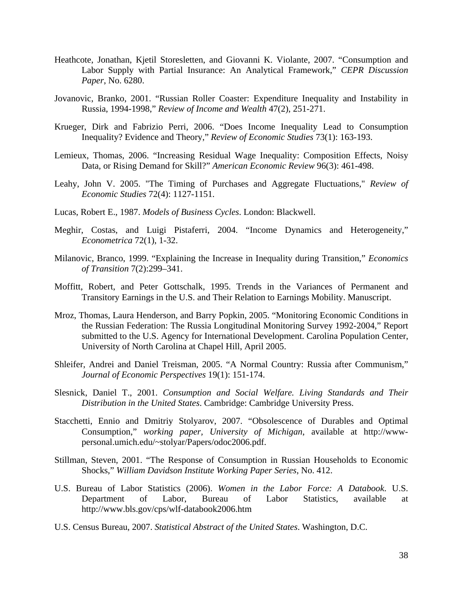- Heathcote, Jonathan, Kjetil Storesletten, and Giovanni K. Violante, 2007. "Consumption and Labor Supply with Partial Insurance: An Analytical Framework," *CEPR Discussion Paper*, No. 6280.
- Jovanovic, Branko, 2001. "Russian Roller Coaster: Expenditure Inequality and Instability in Russia, 1994-1998," *Review of Income and Wealth* 47(2), 251-271.
- Krueger, Dirk and Fabrizio Perri, 2006. "Does Income Inequality Lead to Consumption Inequality? Evidence and Theory," *Review of Economic Studies* 73(1): 163-193.
- Lemieux, Thomas, 2006. "Increasing Residual Wage Inequality: Composition Effects, Noisy Data, or Rising Demand for Skill?" *American Economic Review* 96(3): 461-498.
- Leahy, John V. 2005. "The Timing of Purchases and Aggregate Fluctuations," *Review of Economic Studies* 72(4): 1127-1151.
- Lucas, Robert E., 1987. *Models of Business Cycles*. London: Blackwell.
- Meghir, Costas, and Luigi Pistaferri, 2004. "Income Dynamics and Heterogeneity," *Econometrica* 72(1), 1-32.
- Milanovic, Branco, 1999. "Explaining the Increase in Inequality during Transition," *Economics of Transition* 7(2):299–341.
- Moffitt, Robert, and Peter Gottschalk, 1995. Trends in the Variances of Permanent and Transitory Earnings in the U.S. and Their Relation to Earnings Mobility. Manuscript.
- Mroz, Thomas, Laura Henderson, and Barry Popkin, 2005. "Monitoring Economic Conditions in the Russian Federation: The Russia Longitudinal Monitoring Survey 1992-2004," Report submitted to the U.S. Agency for International Development. Carolina Population Center, University of North Carolina at Chapel Hill, April 2005.
- Shleifer, Andrei and Daniel Treisman, 2005. "A Normal Country: Russia after Communism," *Journal of Economic Perspectives* 19(1): 151-174.
- Slesnick, Daniel T., 2001. *Consumption and Social Welfare. Living Standards and Their Distribution in the United States*. Cambridge: Cambridge University Press.
- Stacchetti, Ennio and Dmitriy Stolyarov, 2007. "Obsolescence of Durables and Optimal Consumption," *working paper, University of Michigan*, available at http://wwwpersonal.umich.edu/~stolyar/Papers/odoc2006.pdf.
- Stillman, Steven, 2001. "The Response of Consumption in Russian Households to Economic Shocks," *William Davidson Institute Working Paper Series*, No. 412.
- U.S. Bureau of Labor Statistics (2006). *Women in the Labor Force: A Databook*. U.S. Department of Labor, Bureau of Labor Statistics, available at http://www.bls.gov/cps/wlf-databook2006.htm
- U.S. Census Bureau, 2007. *Statistical Abstract of the United States*. Washington, D.C.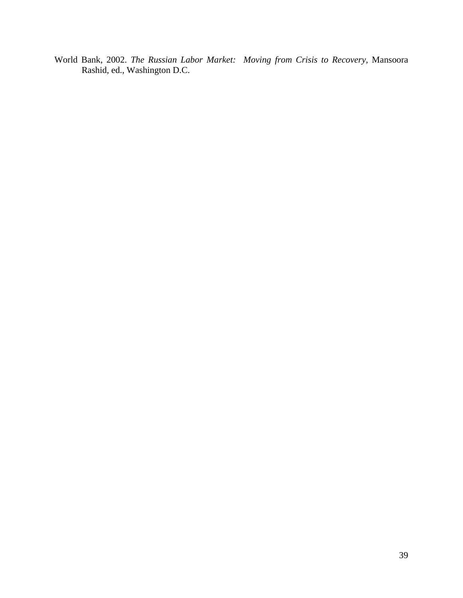World Bank, 2002. *The Russian Labor Market: Moving from Crisis to Recovery,* Mansoora Rashid, ed., Washington D.C.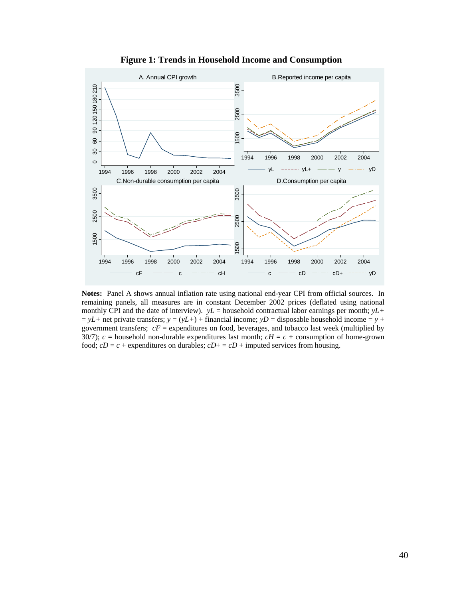

**Figure 1: Trends in Household Income and Consumption** 

**Notes:** Panel A shows annual inflation rate using national end-year CPI from official sources. In remaining panels, all measures are in constant December 2002 prices (deflated using national monthly CPI and the date of interview).  $yL =$  household contractual labor earnings per month;  $yL +$  $y = yL$ + net private transfers;  $y = (yL+)$  + financial income;  $yD$  = disposable household income =  $y +$ government transfers;  $cF =$  expenditures on food, beverages, and tobacco last week (multiplied by 30/7);  $c =$  household non-durable expenditures last month;  $cH = c +$  consumption of home-grown food;  $cD = c +$  expenditures on durables;  $cD + = cD +$  imputed services from housing.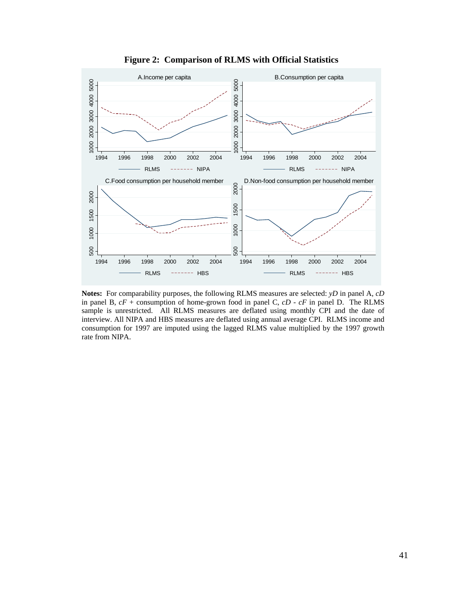

**Figure 2: Comparison of RLMS with Official Statistics** 

**Notes:** For comparability purposes, the following RLMS measures are selected: *yD* in panel A, *cD* in panel B, *cF* + consumption of home-grown food in panel C, *cD* - *cF* in panel D. The RLMS sample is unrestricted. All RLMS measures are deflated using monthly CPI and the date of interview. All NIPA and HBS measures are deflated using annual average CPI. RLMS income and consumption for 1997 are imputed using the lagged RLMS value multiplied by the 1997 growth rate from NIPA.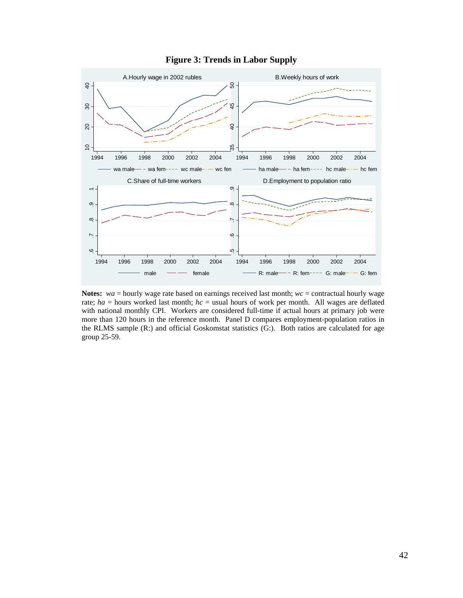

### **Figure 3: Trends in Labor Supply**

**Notes:** *wa* = hourly wage rate based on earnings received last month; *wc* = contractual hourly wage rate; *ha* = hours worked last month; *hc* = usual hours of work per month. All wages are deflated with national monthly CPI. Workers are considered full-time if actual hours at primary job were more than 120 hours in the reference month. Panel D compares employment-population ratios in the RLMS sample (R:) and official Goskomstat statistics (G:). Both ratios are calculated for age group 25-59.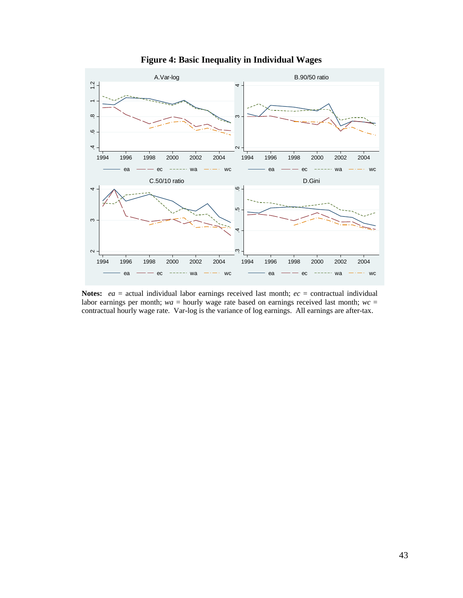

**Figure 4: Basic Inequality in Individual Wages** 

**Notes:** *ea* = actual individual labor earnings received last month; *ec* = contractual individual labor earnings per month;  $wa =$  hourly wage rate based on earnings received last month;  $wc =$ contractual hourly wage rate. Var-log is the variance of log earnings. All earnings are after-tax.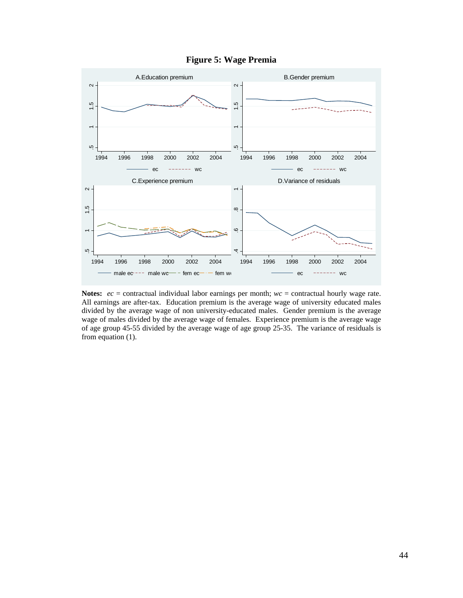

**Figure 5: Wage Premia** 

**Notes:** *ec* = contractual individual labor earnings per month; *wc* = contractual hourly wage rate. All earnings are after-tax. Education premium is the average wage of university educated males divided by the average wage of non university-educated males. Gender premium is the average wage of males divided by the average wage of females. Experience premium is the average wage of age group 45-55 divided by the average wage of age group 25-35. The variance of residuals is from equation (1).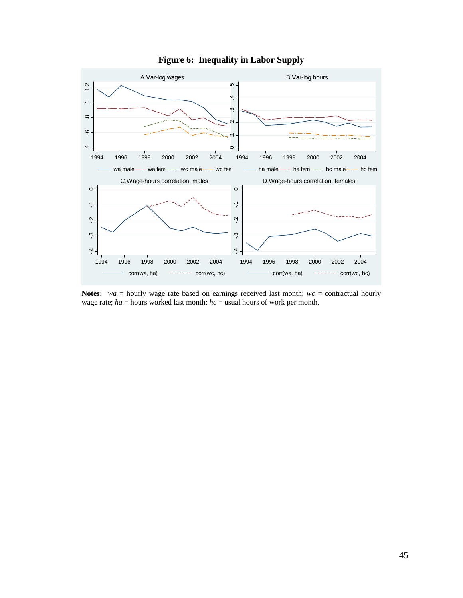

### **Figure 6: Inequality in Labor Supply**

**Notes:** *wa* = hourly wage rate based on earnings received last month; *wc* = contractual hourly wage rate; *ha* = hours worked last month; *hc* = usual hours of work per month.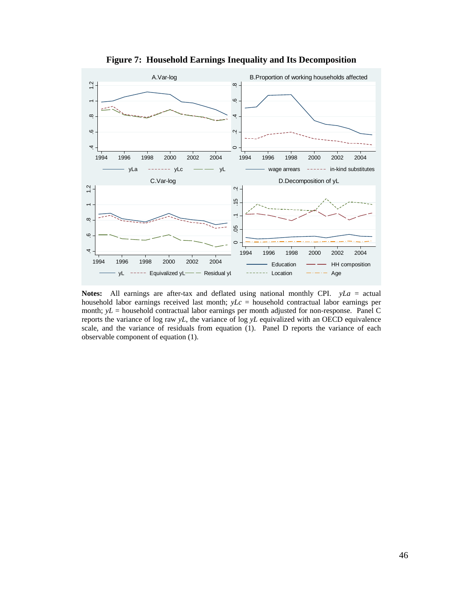

**Figure 7: Household Earnings Inequality and Its Decomposition** 

**Notes:** All earnings are after-tax and deflated using national monthly CPI. *yLa* = actual household labor earnings received last month; *yLc* = household contractual labor earnings per month; *yL* = household contractual labor earnings per month adjusted for non-response. Panel C reports the variance of log raw *yL*, the variance of log *yL* equivalized with an OECD equivalence scale, and the variance of residuals from equation (1). Panel D reports the variance of each observable component of equation (1).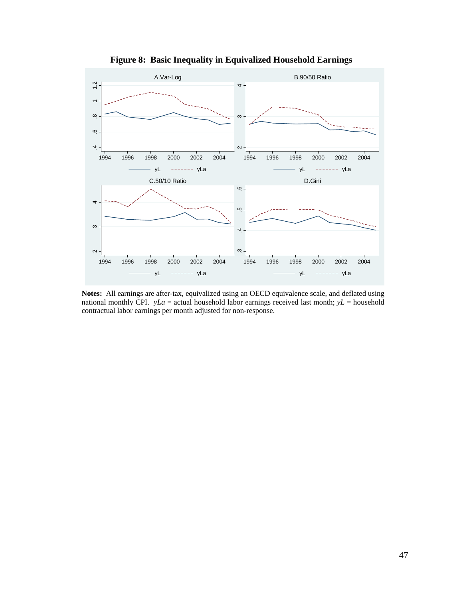

**Figure 8: Basic Inequality in Equivalized Household Earnings** 

**Notes:** All earnings are after-tax, equivalized using an OECD equivalence scale, and deflated using national monthly CPI.  $yLa =$  actual household labor earnings received last month;  $yL =$  household contractual labor earnings per month adjusted for non-response.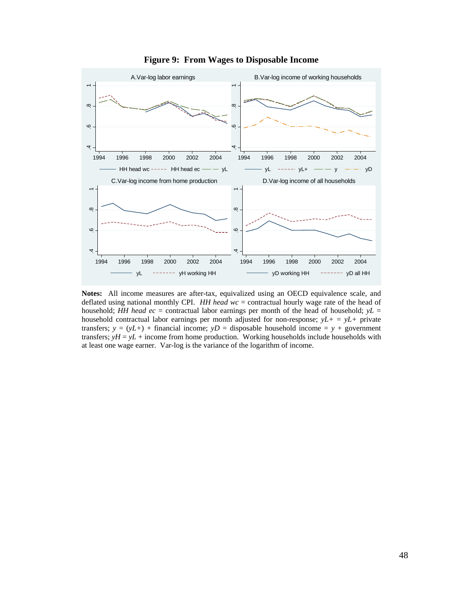

**Figure 9: From Wages to Disposable Income** 

**Notes:** All income measures are after-tax, equivalized using an OECD equivalence scale, and deflated using national monthly CPI. *HH head wc* = contractual hourly wage rate of the head of household; *HH head ec* = contractual labor earnings per month of the head of household; *yL* = household contractual labor earnings per month adjusted for non-response;  $yL + = yL +$  private transfers;  $y = (yL+)$  + financial income;  $yD =$  disposable household income =  $y +$  government transfers;  $yH = yL +$  income from home production. Working households include households with at least one wage earner. Var-log is the variance of the logarithm of income.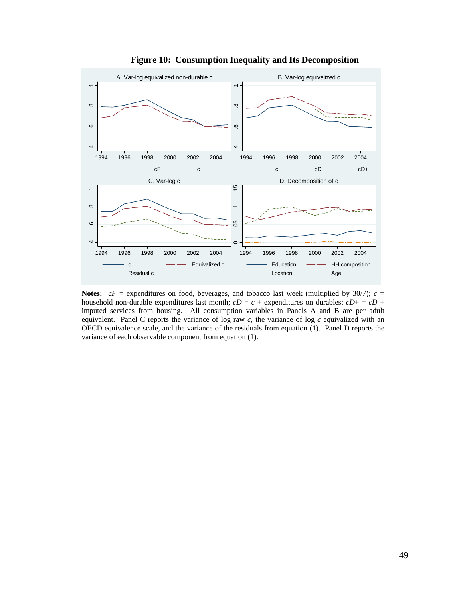

**Figure 10: Consumption Inequality and Its Decomposition** 

**Notes:**  $cF$  = expenditures on food, beverages, and tobacco last week (multiplied by 30/7);  $c$  = household non-durable expenditures last month;  $cD = c +$  expenditures on durables;  $cD + = cD +$ imputed services from housing. All consumption variables in Panels A and B are per adult equivalent. Panel C reports the variance of log raw *c*, the variance of log *c* equivalized with an OECD equivalence scale, and the variance of the residuals from equation (1). Panel D reports the variance of each observable component from equation (1).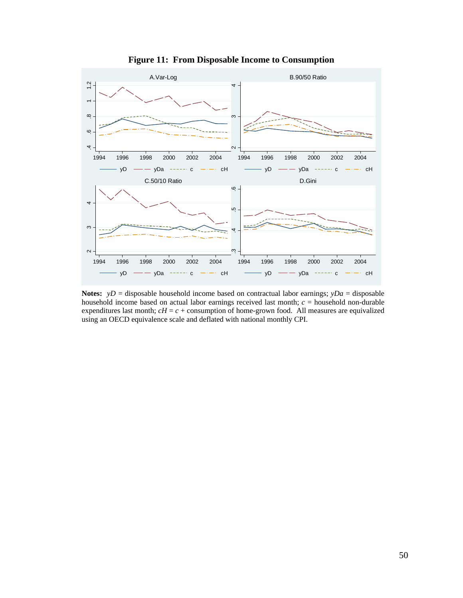

**Figure 11: From Disposable Income to Consumption** 

**Notes:**  $yD =$  disposable household income based on contractual labor earnings;  $yDa =$  disposable household income based on actual labor earnings received last month; *c* = household non-durable expenditures last month;  $cH = c +$  consumption of home-grown food. All measures are equivalized using an OECD equivalence scale and deflated with national monthly CPI.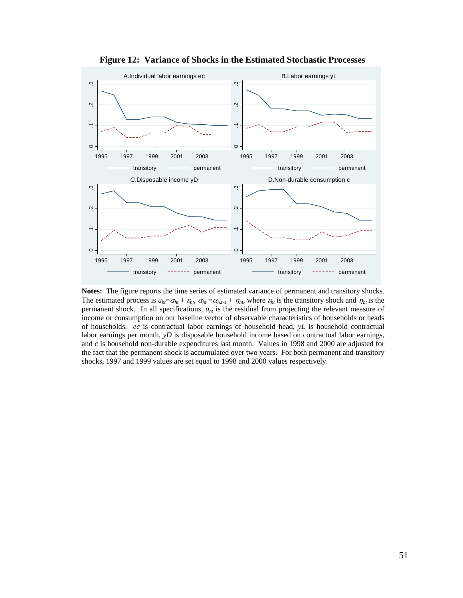

 **Figure 12: Variance of Shocks in the Estimated Stochastic Processes** 

**Notes:** The figure reports the time series of estimated variance of permanent and transitory shocks. The estimated process is  $u_{ht} = \alpha_{ht} + \varepsilon_{ht}$ ,  $\alpha_{ht} = \alpha_{h,t-1} + \eta_{ht}$ , where  $\varepsilon_{ht}$  is the transitory shock and  $\eta_{ht}$  is the permanent shock. In all specifications,  $u<sub>ht</sub>$  is the residual from projecting the relevant measure of income or consumption on our baseline vector of observable characteristics of households or heads of households. *ec* is contractual labor earnings of household head, *yL* is household contractual labor earnings per month, *yD* is disposable household income based on contractual labor earnings, and *c* is household non-durable expenditures last month. Values in 1998 and 2000 are adjusted for the fact that the permanent shock is accumulated over two years. For both permanent and transitory shocks, 1997 and 1999 values are set equal to 1998 and 2000 values respectively.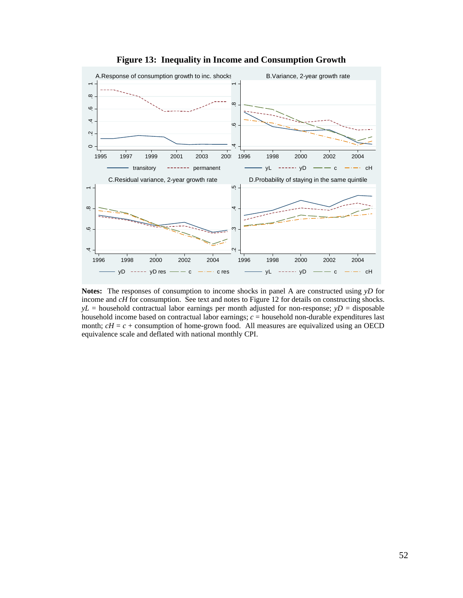

**Figure 13: Inequality in Income and Consumption Growth** 

**Notes:** The responses of consumption to income shocks in panel A are constructed using *yD* for income and *cH* for consumption. See text and notes to Figure 12 for details on constructing shocks. *yL* = household contractual labor earnings per month adjusted for non-response; *yD* = disposable household income based on contractual labor earnings; *c* = household non-durable expenditures last month;  $cH = c +$  consumption of home-grown food. All measures are equivalized using an OECD equivalence scale and deflated with national monthly CPI.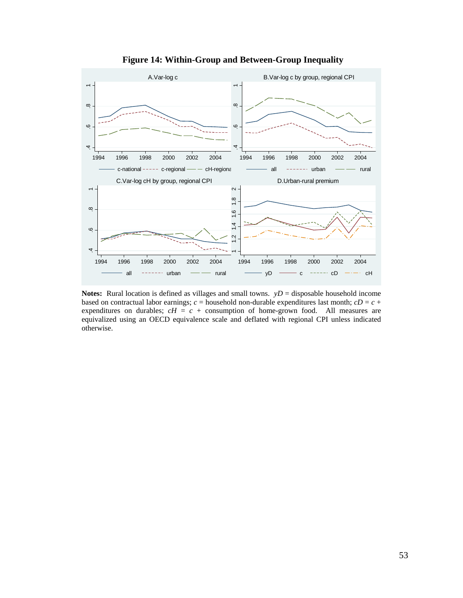

**Figure 14: Within-Group and Between-Group Inequality** 

**Notes:** Rural location is defined as villages and small towns.  $yD =$  disposable household income based on contractual labor earnings;  $c =$  household non-durable expenditures last month;  $cD = c +$ expenditures on durables;  $cH = c +$  consumption of home-grown food. All measures are equivalized using an OECD equivalence scale and deflated with regional CPI unless indicated otherwise.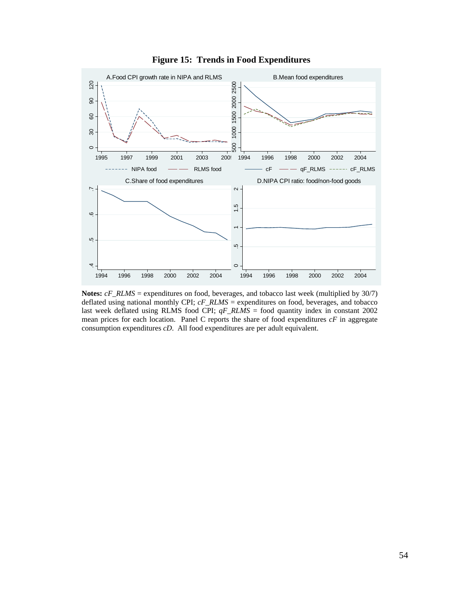

**Figure 15: Trends in Food Expenditures** 

**Notes:** *cF\_RLMS* = expenditures on food, beverages, and tobacco last week (multiplied by 30/7) deflated using national monthly CPI; *cF\_RLMS* = expenditures on food, beverages, and tobacco last week deflated using RLMS food CPI; *qF\_RLMS* = food quantity index in constant 2002 mean prices for each location. Panel C reports the share of food expenditures *cF* in aggregate consumption expenditures *cD*. All food expenditures are per adult equivalent.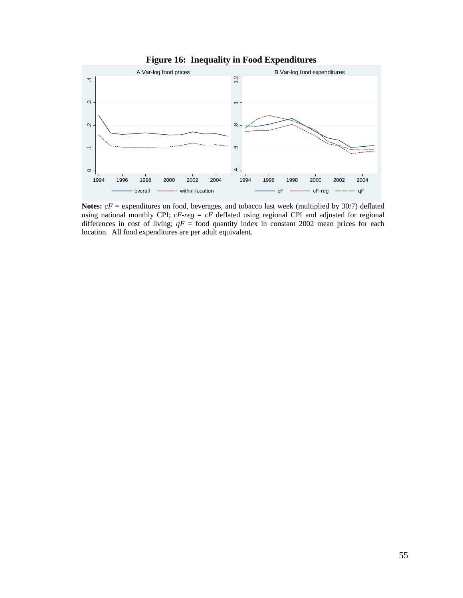

**Figure 16: Inequality in Food Expenditures** 

**Notes:**  $cF$  = expenditures on food, beverages, and tobacco last week (multiplied by 30/7) deflated using national monthly CPI; *cF-reg* = *cF* deflated using regional CPI and adjusted for regional differences in cost of living;  $qF =$  food quantity index in constant 2002 mean prices for each location. All food expenditures are per adult equivalent.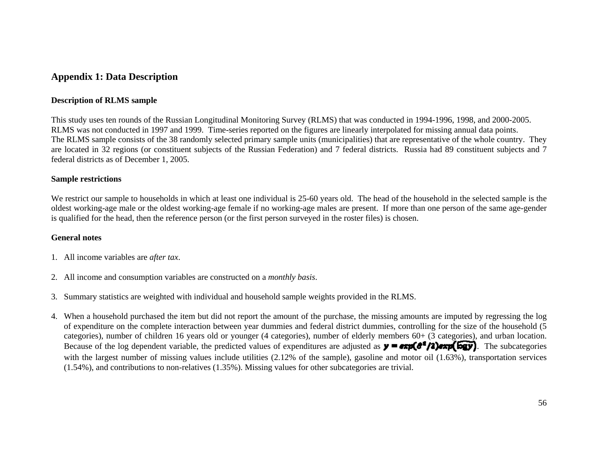### **Appendix 1: Data Description**

#### **Description of RLMS sample**

This study uses ten rounds of the Russian Longitudinal Monitoring Survey (RLMS) that was conducted in 1994-1996, 1998, and 2000-2005. RLMS was not conducted in 1997 and 1999. Time-series reported on the figures are linearly interpolated for missing annual data points. The RLMS sample consists of the 38 randomly selected primary sample units (municipalities) that are representative of the whole country. They are located in 32 regions (or constituent subjects of the Russian Federation) and 7 federal districts. Russia had 89 constituent subjects and 7 federal districts as of December 1, 2005.

#### **Sample restrictions**

We restrict our sample to households in which at least one individual is 25-60 years old. The head of the household in the selected sample is the oldest working-age male or the oldest working-age female if no working-age males are present. If more than one person of the same age-gender is qualified for the head, then the reference person (or the first person surveyed in the roster files) is chosen.

#### **General notes**

- 1. All income variables are *after tax*.
- 2. All income and consumption variables are constructed on a *monthly basis*.
- 3. Summary statistics are weighted with individual and household sample weights provided in the RLMS.
- 4. When a household purchased the item but did not report the amount of the purchase, the missing amounts are imputed by regressing the log of expenditure on the complete interaction between year dummies and federal district dummies, controlling for the size of the household (5 categories), number of children 16 years old or younger (4 categories), number of elderly members 60+ (3 categories), and urban location. Because of the log dependent variable, the predicted values of expenditures are adjusted as  $\mathbf{y} = \exp(\mathbf{d}^T/\mathbf{2})$  and  $\exp(\mathbf{d}^T/\mathbf{2})$ . The subcategories with the largest number of missing values include utilities (2.12% of the sample), gasoline and motor oil (1.63%), transportation services (1.54%), and contributions to non-relatives (1.35%). Missing values for other subcategories are trivial.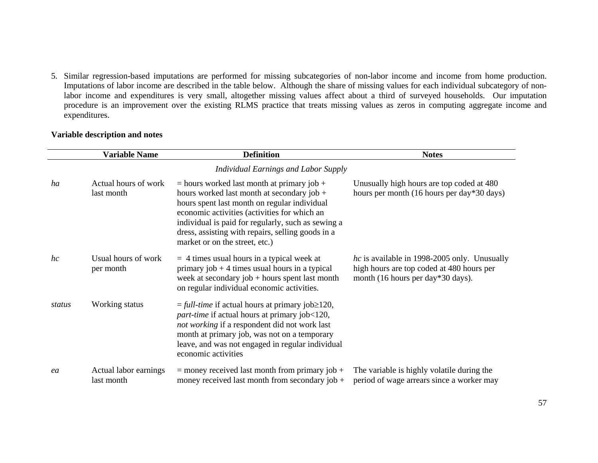5. Similar regression-based imputations are performed for missing subcategories of non-labor income and income from home production. Imputations of labor income are described in the table below. Although the share of missing values for each individual subcategory of nonlabor income and expenditures is very small, altogether missing values affect about a third of surveyed households. Our imputation procedure is an improvement over the existing RLMS practice that treats missing values as zeros in computing aggregate income and expenditures.

|        | <b>Variable Name</b>                | <b>Definition</b>                                                                                                                                                                                                                                                                                                                         | <b>Notes</b>                                                                                                                          |  |
|--------|-------------------------------------|-------------------------------------------------------------------------------------------------------------------------------------------------------------------------------------------------------------------------------------------------------------------------------------------------------------------------------------------|---------------------------------------------------------------------------------------------------------------------------------------|--|
|        |                                     | <b>Individual Earnings and Labor Supply</b>                                                                                                                                                                                                                                                                                               |                                                                                                                                       |  |
| ha     | Actual hours of work<br>last month  | $=$ hours worked last month at primary job +<br>hours worked last month at secondary job $+$<br>hours spent last month on regular individual<br>economic activities (activities for which an<br>individual is paid for regularly, such as sewing a<br>dress, assisting with repairs, selling goods in a<br>market or on the street, etc.) | Unusually high hours are top coded at 480<br>hours per month (16 hours per day*30 days)                                               |  |
| hc     | Usual hours of work<br>per month    | $=$ 4 times usual hours in a typical week at<br>primary job $+4$ times usual hours in a typical<br>week at secondary job $+$ hours spent last month<br>on regular individual economic activities.                                                                                                                                         | <i>hc</i> is available in 1998-2005 only. Unusually<br>high hours are top coded at 480 hours per<br>month (16 hours per day*30 days). |  |
| status | Working status                      | $=$ full-time if actual hours at primary job $\geq$ 120,<br>part-time if actual hours at primary job<120,<br>not working if a respondent did not work last<br>month at primary job, was not on a temporary<br>leave, and was not engaged in regular individual<br>economic activities                                                     |                                                                                                                                       |  |
| ea     | Actual labor earnings<br>last month | $=$ money received last month from primary job $+$<br>money received last month from secondary job $+$                                                                                                                                                                                                                                    | The variable is highly volatile during the<br>period of wage arrears since a worker may                                               |  |

### **Variable description and notes**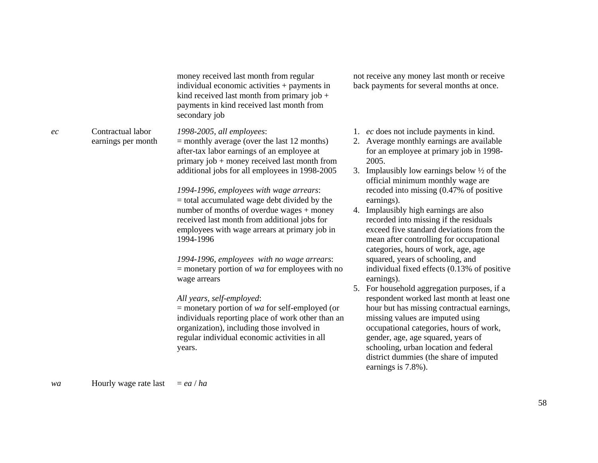money received last month from regular individual economic activities + payments in kind received last month from primary job  $+$ payments in kind received last month from secondary job

*1998-2005, all employees*:

 $=$  monthly average (over the last 12 months) after-tax labor earnings of an employee at primary job + money received last month from additional jobs for all employees in 1998-2005

*1994-1996, employees with wage arrears*: = total accumulated wage debt divided by the number of months of overdue wages + money received last month from additional jobs for employees with wage arrears at primary job in 1994-1996

*1994-1996, employees with no wage arrears*: = monetary portion of *wa* for employees with no wage arrears

*All years, self-employed*:

= monetary portion of *wa* for self-employed (or individuals reporting place of work other than an organization), including those involved in regular individual economic activities in all years.

not receive any money last month or receive back payments for several months at once.

- 1. *ec* does not include payments in kind.
- 2. Average monthly earnings are available for an employee at primary job in 1998- 2005.
- 3. Implausibly low earnings below ½ of the official minimum monthly wage are recoded into missing (0.47% of positive earnings).
- 4. Implausibly high earnings are also recorded into missing if the residuals exceed five standard deviations from the mean after controlling for occupational categories, hours of work, age, age squared, years of schooling, and individual fixed effects (0.13% of positive earnings).
- 5. For household aggregation purposes, if a respondent worked last month at least one hour but has missing contractual earnings, missing values are imputed using occupational categories, hours of work, gender, age, age squared, years of schooling, urban location and federal district dummies (the share of imputed earnings is 7.8%).

*wa* **Hourly** wage rate last  $= ea / ha$ 

earnings per month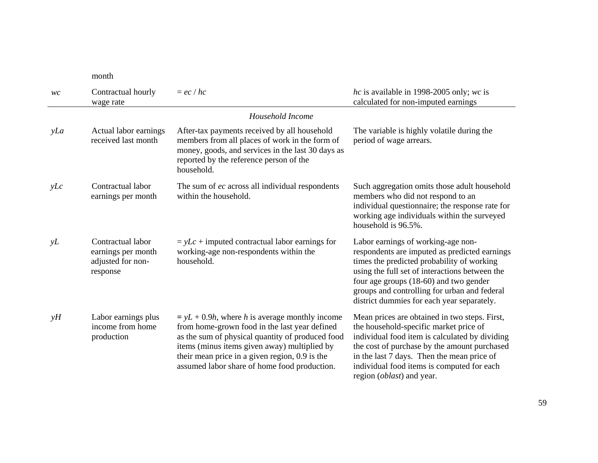month

| WC  | Contractual hourly<br>wage rate                                          | $=ec/hc$                                                                                                                                                                                                                                                                                                   | hc is available in 1998-2005 only; wc is<br>calculated for non-imputed earnings                                                                                                                                                                                                                                             |  |
|-----|--------------------------------------------------------------------------|------------------------------------------------------------------------------------------------------------------------------------------------------------------------------------------------------------------------------------------------------------------------------------------------------------|-----------------------------------------------------------------------------------------------------------------------------------------------------------------------------------------------------------------------------------------------------------------------------------------------------------------------------|--|
|     | Household Income                                                         |                                                                                                                                                                                                                                                                                                            |                                                                                                                                                                                                                                                                                                                             |  |
| yLa | Actual labor earnings<br>received last month                             | After-tax payments received by all household<br>members from all places of work in the form of<br>money, goods, and services in the last 30 days as<br>reported by the reference person of the<br>household.                                                                                               | The variable is highly volatile during the<br>period of wage arrears.                                                                                                                                                                                                                                                       |  |
| yLc | Contractual labor<br>earnings per month                                  | The sum of ec across all individual respondents<br>within the household.                                                                                                                                                                                                                                   | Such aggregation omits those adult household<br>members who did not respond to an<br>individual questionnaire; the response rate for<br>working age individuals within the surveyed<br>household is 96.5%.                                                                                                                  |  |
| yL  | Contractual labor<br>earnings per month<br>adjusted for non-<br>response | $= yLc + imputed$ contractual labor earnings for<br>working-age non-respondents within the<br>household.                                                                                                                                                                                                   | Labor earnings of working-age non-<br>respondents are imputed as predicted earnings<br>times the predicted probability of working<br>using the full set of interactions between the<br>four age groups (18-60) and two gender<br>groups and controlling for urban and federal<br>district dummies for each year separately. |  |
| yH  | Labor earnings plus<br>income from home<br>production                    | $y = yL + 0.9h$ , where h is average monthly income<br>from home-grown food in the last year defined<br>as the sum of physical quantity of produced food<br>items (minus items given away) multiplied by<br>their mean price in a given region, 0.9 is the<br>assumed labor share of home food production. | Mean prices are obtained in two steps. First,<br>the household-specific market price of<br>individual food item is calculated by dividing<br>the cost of purchase by the amount purchased<br>in the last 7 days. Then the mean price of<br>individual food items is computed for each<br>region (oblast) and year.          |  |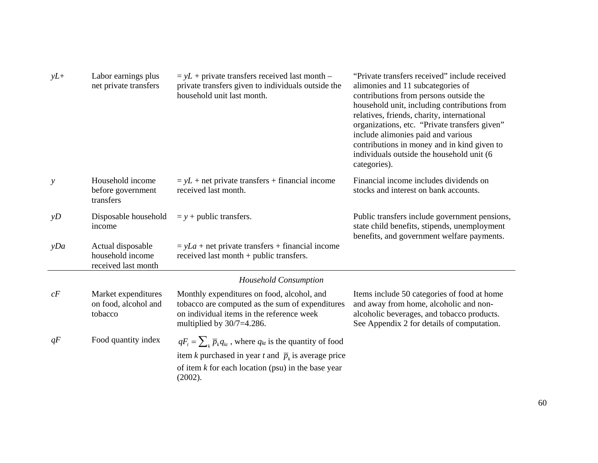| $yL+$         | Labor earnings plus<br>net private transfers                 | $= yL +$ private transfers received last month –<br>private transfers given to individuals outside the<br>household unit last month.                                                                             | "Private transfers received" include received<br>alimonies and 11 subcategories of<br>contributions from persons outside the<br>household unit, including contributions from<br>relatives, friends, charity, international<br>organizations, etc. "Private transfers given"<br>include alimonies paid and various<br>contributions in money and in kind given to<br>individuals outside the household unit (6)<br>categories). |  |  |  |
|---------------|--------------------------------------------------------------|------------------------------------------------------------------------------------------------------------------------------------------------------------------------------------------------------------------|--------------------------------------------------------------------------------------------------------------------------------------------------------------------------------------------------------------------------------------------------------------------------------------------------------------------------------------------------------------------------------------------------------------------------------|--|--|--|
| $\mathcal{Y}$ | Household income<br>before government<br>transfers           | $= yL$ + net private transfers + financial income<br>received last month.                                                                                                                                        | Financial income includes dividends on<br>stocks and interest on bank accounts.                                                                                                                                                                                                                                                                                                                                                |  |  |  |
| yD            | Disposable household<br>income                               | $= y +$ public transfers.                                                                                                                                                                                        | Public transfers include government pensions,<br>state child benefits, stipends, unemployment<br>benefits, and government welfare payments.                                                                                                                                                                                                                                                                                    |  |  |  |
| yDa           | Actual disposable<br>household income<br>received last month | $= yLa + net private transfers + financial income$<br>received last month $+$ public transfers.                                                                                                                  |                                                                                                                                                                                                                                                                                                                                                                                                                                |  |  |  |
|               | <b>Household Consumption</b>                                 |                                                                                                                                                                                                                  |                                                                                                                                                                                                                                                                                                                                                                                                                                |  |  |  |
| cF            | Market expenditures<br>on food, alcohol and<br>tobacco       | Monthly expenditures on food, alcohol, and<br>tobacco are computed as the sum of expenditures<br>on individual items in the reference week<br>multiplied by $30/7=4.286$ .                                       | Items include 50 categories of food at home<br>and away from home, alcoholic and non-<br>alcoholic beverages, and tobacco products.<br>See Appendix 2 for details of computation.                                                                                                                                                                                                                                              |  |  |  |
| qF            | Food quantity index                                          | $qF_t = \sum_k \overline{p}_k q_{kt}$ , where $q_{kt}$ is the quantity of food<br>item k purchased in year t and $\bar{p}_k$ is average price<br>of item $k$ for each location (psu) in the base year<br>(2002). |                                                                                                                                                                                                                                                                                                                                                                                                                                |  |  |  |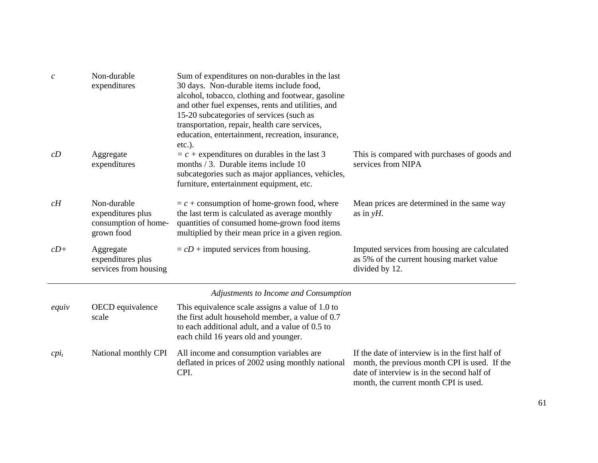| $\boldsymbol{c}$                      | Non-durable<br>expenditures                                            | Sum of expenditures on non-durables in the last<br>30 days. Non-durable items include food,<br>alcohol, tobacco, clothing and footwear, gasoline<br>and other fuel expenses, rents and utilities, and<br>15-20 subcategories of services (such as<br>transportation, repair, health care services,<br>education, entertainment, recreation, insurance, |                                                                                                             |  |
|---------------------------------------|------------------------------------------------------------------------|--------------------------------------------------------------------------------------------------------------------------------------------------------------------------------------------------------------------------------------------------------------------------------------------------------------------------------------------------------|-------------------------------------------------------------------------------------------------------------|--|
| cD                                    | Aggregate<br>expenditures                                              | $etc.$ ).<br>$= c +$ expenditures on durables in the last 3<br>months / 3. Durable items include 10<br>subcategories such as major appliances, vehicles,<br>furniture, entertainment equipment, etc.                                                                                                                                                   | This is compared with purchases of goods and<br>services from NIPA                                          |  |
| cH                                    | Non-durable<br>expenditures plus<br>consumption of home-<br>grown food | $= c +$ consumption of home-grown food, where<br>the last term is calculated as average monthly<br>quantities of consumed home-grown food items<br>multiplied by their mean price in a given region.                                                                                                                                                   | Mean prices are determined in the same way<br>as in $yH$ .                                                  |  |
| $cD+$                                 | Aggregate<br>expenditures plus<br>services from housing                | $= cD +$ imputed services from housing.                                                                                                                                                                                                                                                                                                                | Imputed services from housing are calculated<br>as 5% of the current housing market value<br>divided by 12. |  |
| Adjustments to Income and Consumption |                                                                        |                                                                                                                                                                                                                                                                                                                                                        |                                                                                                             |  |
| equiv                                 | OECD equivalence<br>scale                                              | This equivalence scale assigns a value of 1.0 to<br>the first adult household member, a value of 0.7<br>to each additional adult, and a value of 0.5 to<br>each child 16 years old and younger.                                                                                                                                                        |                                                                                                             |  |
| $cpi_t$                               | National monthly CPI                                                   | All income and consumption variables are<br>deflated in prices of 2002 using monthly national                                                                                                                                                                                                                                                          | If the date of interview is in the first half of<br>month, the previous month CPI is used. If the           |  |

CPI.

 month, the previous month CPI is used. If the date of interview is in the second half of month, the current month CPI is used.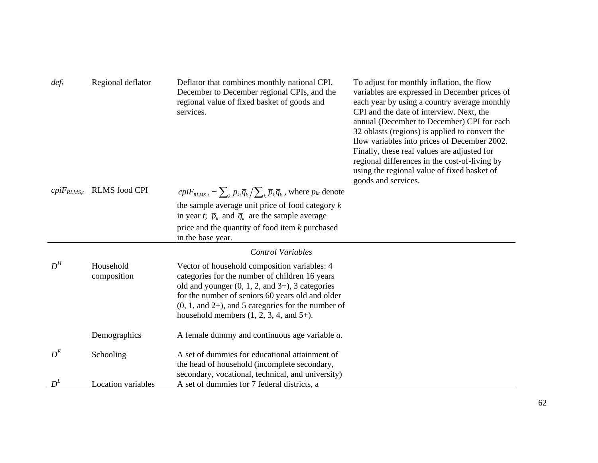| def <sub>t</sub>                  | Regional deflator<br>Deflator that combines monthly national CPI,<br>December to December regional CPIs, and the<br>regional value of fixed basket of goods and<br>services.                                                                                                                                                                           |                                                                                                                                                     | To adjust for monthly inflation, the flow<br>variables are expressed in December prices of<br>each year by using a country average monthly<br>CPI and the date of interview. Next, the<br>annual (December to December) CPI for each<br>32 oblasts (regions) is applied to convert the<br>flow variables into prices of December 2002.<br>Finally, these real values are adjusted for<br>regional differences in the cost-of-living by<br>using the regional value of fixed basket of<br>goods and services. |  |
|-----------------------------------|--------------------------------------------------------------------------------------------------------------------------------------------------------------------------------------------------------------------------------------------------------------------------------------------------------------------------------------------------------|-----------------------------------------------------------------------------------------------------------------------------------------------------|--------------------------------------------------------------------------------------------------------------------------------------------------------------------------------------------------------------------------------------------------------------------------------------------------------------------------------------------------------------------------------------------------------------------------------------------------------------------------------------------------------------|--|
| $\textit{cpiF}_{\textit{RLMS},t}$ | <b>RLMS</b> food CPI                                                                                                                                                                                                                                                                                                                                   | $\frac{1}{C}$ $\frac{1}{C}$ $\sum_{k} p_{k} \overline{q}_{k} / \sum_{k} \overline{p}_{k} \overline{q}_{k}$ , where $p_{kt}$ denote                  |                                                                                                                                                                                                                                                                                                                                                                                                                                                                                                              |  |
|                                   |                                                                                                                                                                                                                                                                                                                                                        | the sample average unit price of food category $k$                                                                                                  |                                                                                                                                                                                                                                                                                                                                                                                                                                                                                                              |  |
|                                   |                                                                                                                                                                                                                                                                                                                                                        | in year t; $\overline{p}_k$ and $\overline{q}_k$ are the sample average                                                                             |                                                                                                                                                                                                                                                                                                                                                                                                                                                                                                              |  |
|                                   |                                                                                                                                                                                                                                                                                                                                                        | price and the quantity of food item $k$ purchased<br>in the base year.                                                                              |                                                                                                                                                                                                                                                                                                                                                                                                                                                                                                              |  |
|                                   |                                                                                                                                                                                                                                                                                                                                                        | <b>Control Variables</b>                                                                                                                            |                                                                                                                                                                                                                                                                                                                                                                                                                                                                                                              |  |
| $D^H$                             | Household<br>Vector of household composition variables: 4<br>categories for the number of children 16 years<br>composition<br>old and younger $(0, 1, 2,$ and $3+)$ , 3 categories<br>for the number of seniors 60 years old and older<br>$(0, 1, and 2+)$ , and 5 categories for the number of<br>household members $(1, 2, 3, 4, \text{ and } 5+)$ . |                                                                                                                                                     |                                                                                                                                                                                                                                                                                                                                                                                                                                                                                                              |  |
|                                   | Demographics                                                                                                                                                                                                                                                                                                                                           | A female dummy and continuous age variable $a$ .                                                                                                    |                                                                                                                                                                                                                                                                                                                                                                                                                                                                                                              |  |
| $D^{E}$                           | Schooling                                                                                                                                                                                                                                                                                                                                              | A set of dummies for educational attainment of<br>the head of household (incomplete secondary,<br>secondary, vocational, technical, and university) |                                                                                                                                                                                                                                                                                                                                                                                                                                                                                                              |  |
| $D^L$                             | <b>Location</b> variables                                                                                                                                                                                                                                                                                                                              | A set of dummies for 7 federal districts, a                                                                                                         |                                                                                                                                                                                                                                                                                                                                                                                                                                                                                                              |  |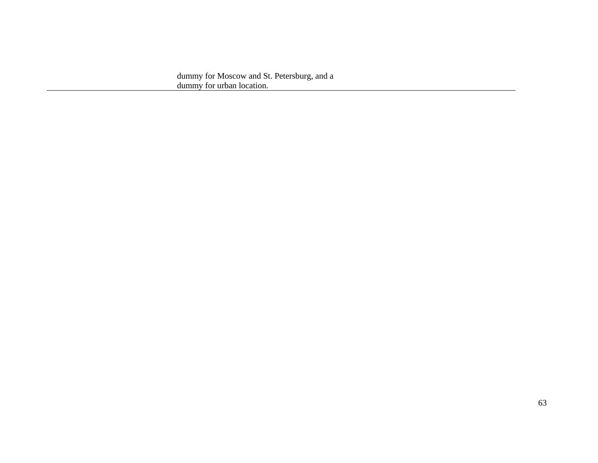dummy for Moscow and St. Petersburg, and a dummy for urban location.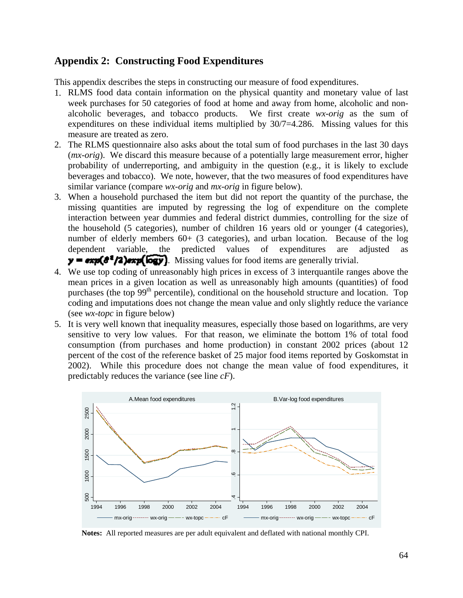### **Appendix 2: Constructing Food Expenditures**

This appendix describes the steps in constructing our measure of food expenditures.

- 1. RLMS food data contain information on the physical quantity and monetary value of last week purchases for 50 categories of food at home and away from home, alcoholic and nonalcoholic beverages, and tobacco products. We first create *wx-orig* as the sum of expenditures on these individual items multiplied by 30/7=4.286. Missing values for this measure are treated as zero.
- 2. The RLMS questionnaire also asks about the total sum of food purchases in the last 30 days (*mx-orig*). We discard this measure because of a potentially large measurement error, higher probability of underreporting, and ambiguity in the question (e.g., it is likely to exclude beverages and tobacco). We note, however, that the two measures of food expenditures have similar variance (compare *wx-orig* and *mx-orig* in figure below).
- 3. When a household purchased the item but did not report the quantity of the purchase, the missing quantities are imputed by regressing the log of expenditure on the complete interaction between year dummies and federal district dummies, controlling for the size of the household (5 categories), number of children 16 years old or younger (4 categories), number of elderly members 60+ (3 categories), and urban location. Because of the log dependent variable, the predicted values of expenditures are adjusted as  $y = \exp(\theta^2/2)$ exp( $\log y$ ). Missing values for food items are generally trivial.
- 4. We use top coding of unreasonably high prices in excess of 3 interquantile ranges above the mean prices in a given location as well as unreasonably high amounts (quantities) of food purchases (the top 99<sup>th</sup> percentile), conditional on the household structure and location. Top coding and imputations does not change the mean value and only slightly reduce the variance (see *wx-topc* in figure below)
- 5. It is very well known that inequality measures, especially those based on logarithms, are very sensitive to very low values. For that reason, we eliminate the bottom 1% of total food consumption (from purchases and home production) in constant 2002 prices (about 12 percent of the cost of the reference basket of 25 major food items reported by Goskomstat in 2002). While this procedure does not change the mean value of food expenditures, it predictably reduces the variance (see line *cF*).



**Notes:** All reported measures are per adult equivalent and deflated with national monthly CPI.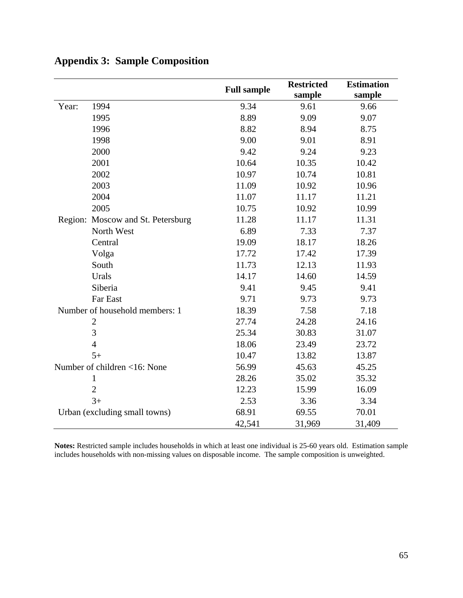|                                |                                   | <b>Full sample</b> | <b>Restricted</b> | <b>Estimation</b> |
|--------------------------------|-----------------------------------|--------------------|-------------------|-------------------|
|                                |                                   |                    | sample            | sample            |
| Year:                          | 1994                              | 9.34               | 9.61              | 9.66              |
|                                | 1995                              | 8.89               | 9.09              | 9.07              |
|                                | 1996                              | 8.82               | 8.94              | 8.75              |
|                                | 1998                              | 9.00               | 9.01              | 8.91              |
|                                | 2000                              | 9.42               | 9.24              | 9.23              |
|                                | 2001                              | 10.64              | 10.35             | 10.42             |
|                                | 2002                              | 10.97              | 10.74             | 10.81             |
|                                | 2003                              | 11.09              | 10.92             | 10.96             |
|                                | 2004                              | 11.07              | 11.17             | 11.21             |
|                                | 2005                              | 10.75              | 10.92             | 10.99             |
|                                | Region: Moscow and St. Petersburg | 11.28              | 11.17             | 11.31             |
|                                | North West                        | 6.89               | 7.33              | 7.37              |
|                                | Central                           | 19.09              | 18.17             | 18.26             |
|                                | Volga                             | 17.72              | 17.42             | 17.39             |
|                                | South                             | 11.73              | 12.13             | 11.93             |
|                                | Urals                             | 14.17              | 14.60             | 14.59             |
|                                | Siberia                           | 9.41               | 9.45              | 9.41              |
|                                | Far East                          | 9.71               | 9.73              | 9.73              |
| Number of household members: 1 |                                   | 18.39              | 7.58              | 7.18              |
|                                | $\overline{2}$                    | 27.74              | 24.28             | 24.16             |
|                                | 3                                 | 25.34              | 30.83             | 31.07             |
|                                | $\overline{4}$                    | 18.06              | 23.49             | 23.72             |
|                                | $5+$                              | 10.47              | 13.82             | 13.87             |
|                                | Number of children <16: None      | 56.99              | 45.63             | 45.25             |
|                                | $\mathbf{1}$                      | 28.26              | 35.02             | 35.32             |
|                                | $\overline{2}$                    | 12.23              | 15.99             | 16.09             |
|                                | $3+$                              | 2.53               | 3.36              | 3.34              |
|                                | Urban (excluding small towns)     | 68.91              | 69.55             | 70.01             |
|                                |                                   | 42,541             | 31,969            | 31,409            |

## **Appendix 3: Sample Composition**

**Notes:** Restricted sample includes households in which at least one individual is 25-60 years old. Estimation sample includes households with non-missing values on disposable income. The sample composition is unweighted.